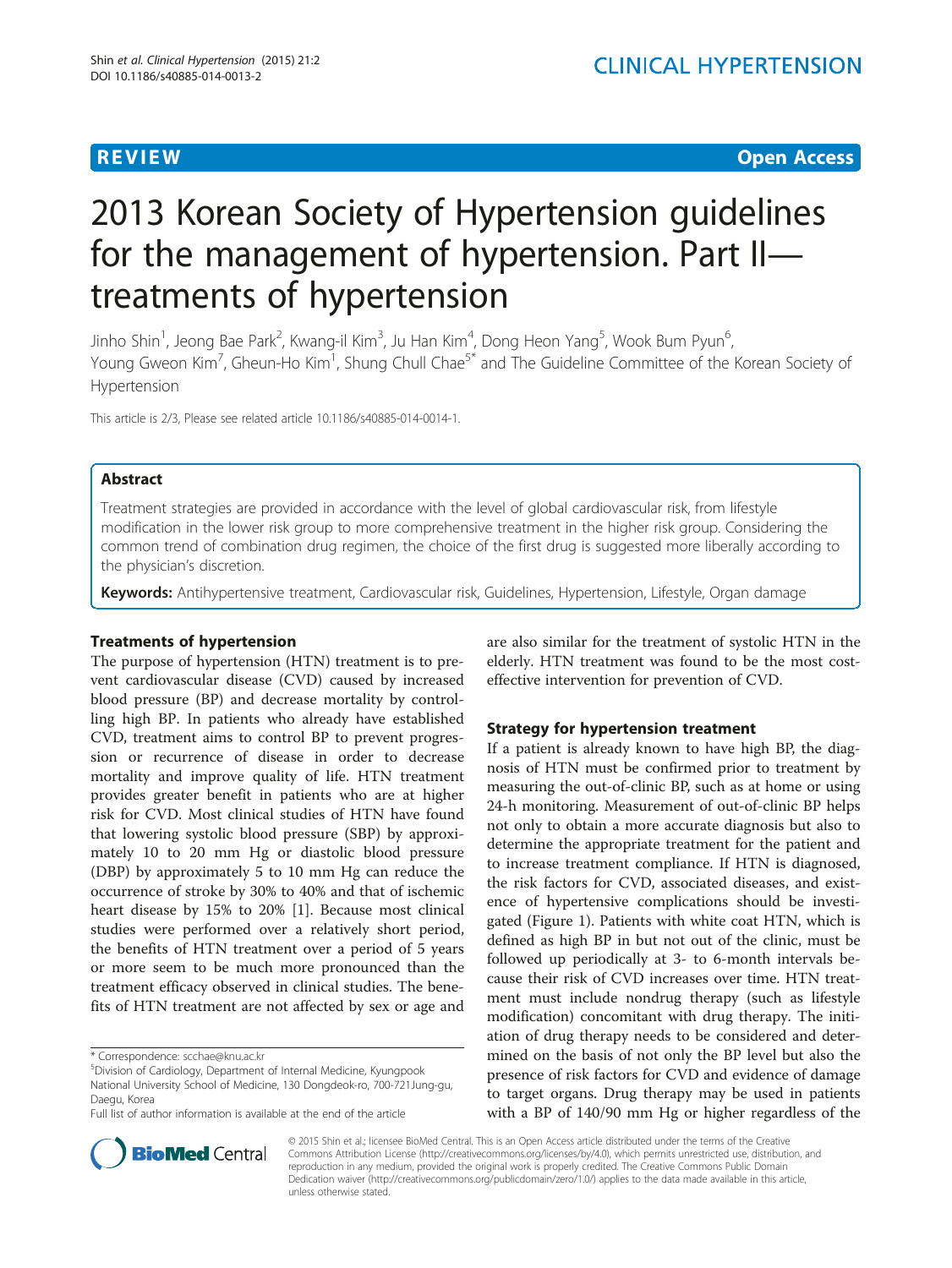**REVIEW CONTROL** CONTROL CONTROL CONTROL CONTROL CONTROL CONTROL CONTROL CONTROL CONTROL CONTROL CONTROL CONTROL CONTROL CONTROL CONTROL CONTROL CONTROL CONTROL CONTROL CONTROL CONTROL CONTROL CONTROL CONTROL CONTROL CONTR

# 2013 Korean Society of Hypertension guidelines for the management of hypertension. Part IItreatments of hypertension

Jinho Shin<sup>1</sup>, Jeong Bae Park<sup>2</sup>, Kwang-il Kim<sup>3</sup>, Ju Han Kim<sup>4</sup>, Dong Heon Yang<sup>5</sup>, Wook Bum Pyun<sup>6</sup> י<br>, Young Gweon Kim<sup>7</sup>, Gheun-Ho Kim<sup>1</sup>, Shung Chull Chae<sup>5\*</sup> and The Guideline Committee of the Korean Society of Hypertension

This article is 2/3, Please see related article 10.1186/s40885-014-0014-1.

# Abstract

Treatment strategies are provided in accordance with the level of global cardiovascular risk, from lifestyle modification in the lower risk group to more comprehensive treatment in the higher risk group. Considering the common trend of combination drug regimen, the choice of the first drug is suggested more liberally according to the physician's discretion.

Keywords: Antihypertensive treatment, Cardiovascular risk, Guidelines, Hypertension, Lifestyle, Organ damage

# Treatments of hypertension

The purpose of hypertension (HTN) treatment is to prevent cardiovascular disease (CVD) caused by increased blood pressure (BP) and decrease mortality by controlling high BP. In patients who already have established CVD, treatment aims to control BP to prevent progression or recurrence of disease in order to decrease mortality and improve quality of life. HTN treatment provides greater benefit in patients who are at higher risk for CVD. Most clinical studies of HTN have found that lowering systolic blood pressure (SBP) by approximately 10 to 20 mm Hg or diastolic blood pressure (DBP) by approximately 5 to 10 mm Hg can reduce the occurrence of stroke by 30% to 40% and that of ischemic heart disease by 15% to 20% [[1\]](#page-9-0). Because most clinical studies were performed over a relatively short period, the benefits of HTN treatment over a period of 5 years or more seem to be much more pronounced than the treatment efficacy observed in clinical studies. The benefits of HTN treatment are not affected by sex or age and

\* Correspondence: [scchae@knu.ac.kr](mailto:scchae@knu.ac.kr) <sup>5</sup>

are also similar for the treatment of systolic HTN in the elderly. HTN treatment was found to be the most costeffective intervention for prevention of CVD.

# Strategy for hypertension treatment

If a patient is already known to have high BP, the diagnosis of HTN must be confirmed prior to treatment by measuring the out-of-clinic BP, such as at home or using 24-h monitoring. Measurement of out-of-clinic BP helps not only to obtain a more accurate diagnosis but also to determine the appropriate treatment for the patient and to increase treatment compliance. If HTN is diagnosed, the risk factors for CVD, associated diseases, and existence of hypertensive complications should be investigated (Figure [1\)](#page-1-0). Patients with white coat HTN, which is defined as high BP in but not out of the clinic, must be followed up periodically at 3- to 6-month intervals because their risk of CVD increases over time. HTN treatment must include nondrug therapy (such as lifestyle modification) concomitant with drug therapy. The initiation of drug therapy needs to be considered and determined on the basis of not only the BP level but also the presence of risk factors for CVD and evidence of damage to target organs. Drug therapy may be used in patients with a BP of 140/90 mm Hg or higher regardless of the



© 2015 Shin et al.; licensee BioMed Central. This is an Open Access article distributed under the terms of the Creative Commons Attribution License [\(http://creativecommons.org/licenses/by/4.0\)](http://creativecommons.org/licenses/by/4.0), which permits unrestricted use, distribution, and reproduction in any medium, provided the original work is properly credited. The Creative Commons Public Domain Dedication waiver [\(http://creativecommons.org/publicdomain/zero/1.0/](http://creativecommons.org/publicdomain/zero/1.0/)) applies to the data made available in this article, unless otherwise stated.

Division of Cardiology, Department of Internal Medicine, Kyungpook National University School of Medicine, 130 Dongdeok-ro, 700-721Jung-gu, Daegu, Korea

Full list of author information is available at the end of the article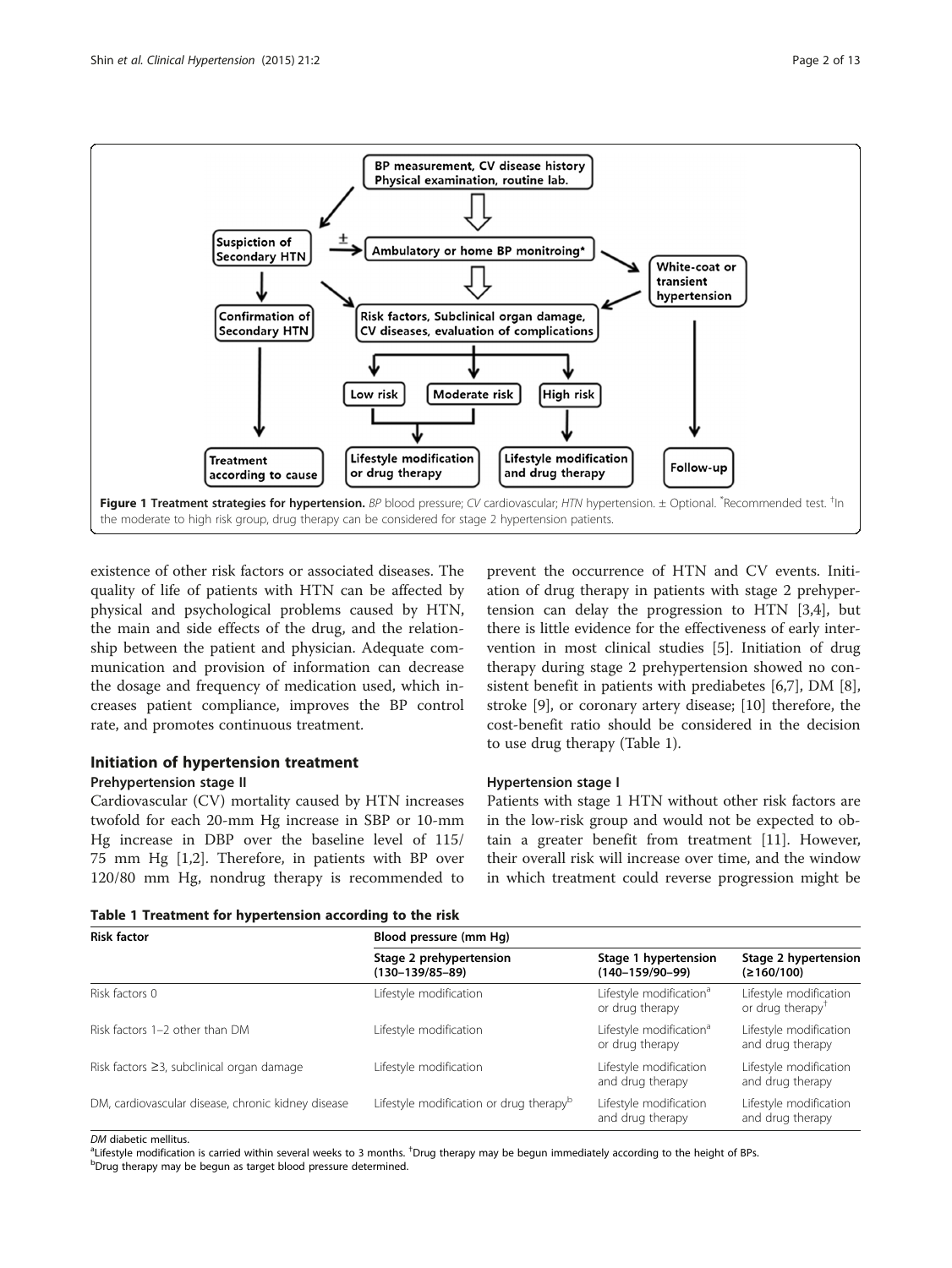<span id="page-1-0"></span>

existence of other risk factors or associated diseases. The quality of life of patients with HTN can be affected by physical and psychological problems caused by HTN, the main and side effects of the drug, and the relationship between the patient and physician. Adequate communication and provision of information can decrease the dosage and frequency of medication used, which increases patient compliance, improves the BP control rate, and promotes continuous treatment.

# Initiation of hypertension treatment Prehypertension stage II

Cardiovascular (CV) mortality caused by HTN increases twofold for each 20-mm Hg increase in SBP or 10-mm Hg increase in DBP over the baseline level of 115/ 75 mm Hg [\[1](#page-9-0)[,2](#page-10-0)]. Therefore, in patients with BP over 120/80 mm Hg, nondrug therapy is recommended to

prevent the occurrence of HTN and CV events. Initiation of drug therapy in patients with stage 2 prehypertension can delay the progression to HTN [\[3,4](#page-10-0)], but there is little evidence for the effectiveness of early intervention in most clinical studies [[5\]](#page-10-0). Initiation of drug therapy during stage 2 prehypertension showed no consistent benefit in patients with prediabetes [\[6,7](#page-10-0)], DM [\[8](#page-10-0)], stroke [\[9](#page-10-0)], or coronary artery disease; [[10](#page-10-0)] therefore, the cost-benefit ratio should be considered in the decision to use drug therapy (Table 1).

# Hypertension stage I

Patients with stage 1 HTN without other risk factors are in the low-risk group and would not be expected to obtain a greater benefit from treatment [[11](#page-10-0)]. However, their overall risk will increase over time, and the window in which treatment could reverse progression might be



| <b>Risk factor</b>                                 | Blood pressure (mm Hg)                              |                                                        |                                                        |  |  |
|----------------------------------------------------|-----------------------------------------------------|--------------------------------------------------------|--------------------------------------------------------|--|--|
|                                                    | Stage 2 prehypertension<br>$(130-139/85-89)$        | Stage 1 hypertension<br>(140-159/90-99)                | Stage 2 hypertension<br>(≥160/100)                     |  |  |
| Risk factors 0                                     | Lifestyle modification                              | Lifestyle modification <sup>a</sup><br>or drug therapy | Lifestyle modification<br>or drug therapy <sup>+</sup> |  |  |
| Risk factors 1-2 other than DM                     | Lifestyle modification                              | Lifestyle modification <sup>a</sup><br>or drug therapy | Lifestyle modification<br>and drug therapy             |  |  |
| Risk factors ≥3, subclinical organ damage          | Lifestyle modification                              | Lifestyle modification<br>and drug therapy             | Lifestyle modification<br>and drug therapy             |  |  |
| DM, cardiovascular disease, chronic kidney disease | Lifestyle modification or drug therapy <sup>b</sup> | Lifestyle modification<br>and drug therapy             | Lifestyle modification<br>and drug therapy             |  |  |

DM diabetic mellitus.

alifestyle modification is carried within several weeks to 3 months. <sup>†</sup>Drug therapy may be begun immediately according to the height of BPs.<br>PDrug therapy may be begun as target blood pressure determined <sup>b</sup>Drug therapy may be begun as target blood pressure determined.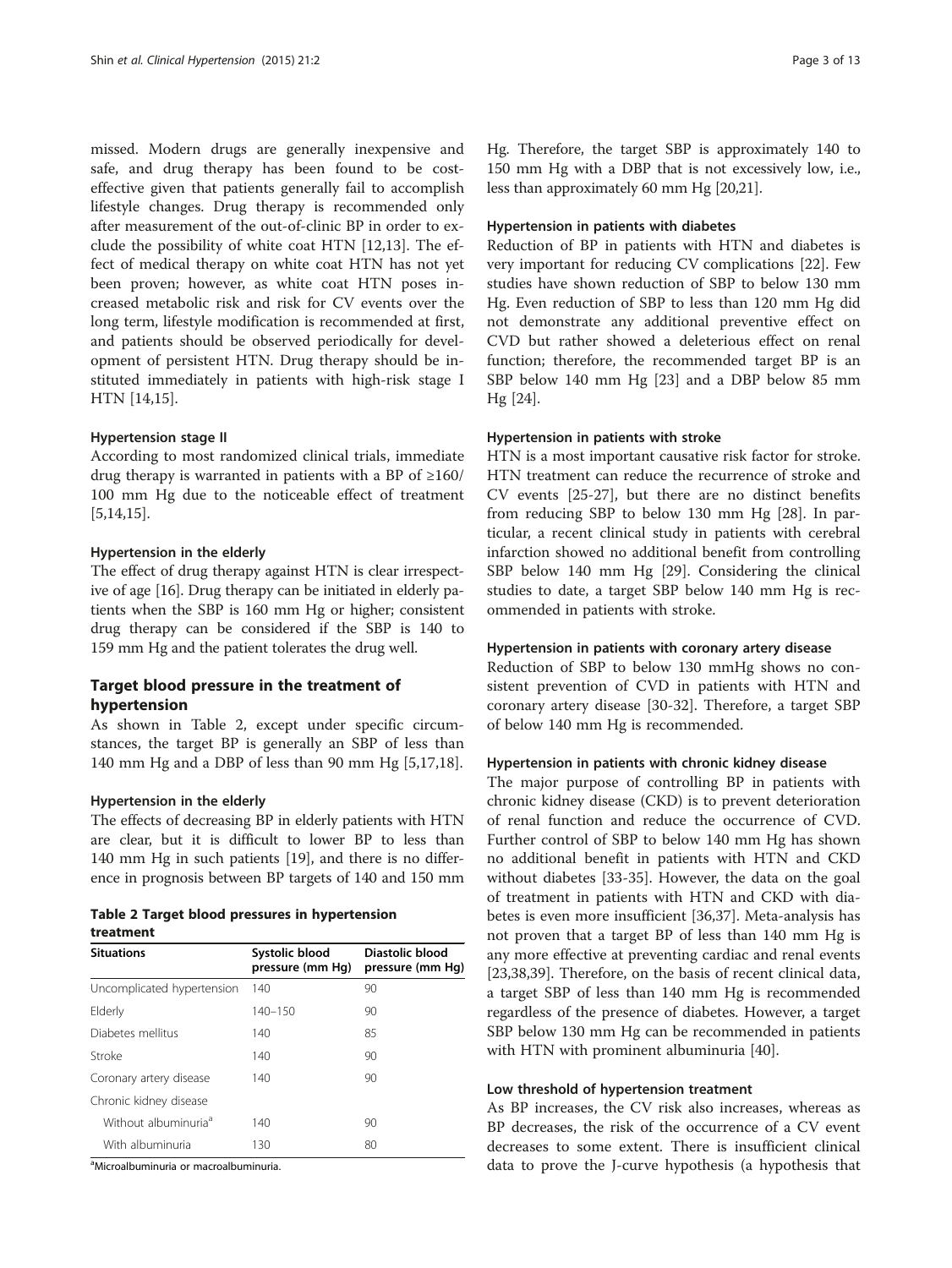missed. Modern drugs are generally inexpensive and safe, and drug therapy has been found to be costeffective given that patients generally fail to accomplish lifestyle changes. Drug therapy is recommended only after measurement of the out-of-clinic BP in order to exclude the possibility of white coat HTN [\[12,13](#page-10-0)]. The effect of medical therapy on white coat HTN has not yet been proven; however, as white coat HTN poses increased metabolic risk and risk for CV events over the long term, lifestyle modification is recommended at first, and patients should be observed periodically for development of persistent HTN. Drug therapy should be instituted immediately in patients with high-risk stage I HTN [\[14,15](#page-10-0)].

#### Hypertension stage II

According to most randomized clinical trials, immediate drug therapy is warranted in patients with a BP of  $\geq 160/$ 100 mm Hg due to the noticeable effect of treatment  $[5,14,15]$  $[5,14,15]$ .

#### Hypertension in the elderly

The effect of drug therapy against HTN is clear irrespective of age [\[16\]](#page-10-0). Drug therapy can be initiated in elderly patients when the SBP is 160 mm Hg or higher; consistent drug therapy can be considered if the SBP is 140 to 159 mm Hg and the patient tolerates the drug well.

# Target blood pressure in the treatment of hypertension

As shown in Table 2, except under specific circumstances, the target BP is generally an SBP of less than 140 mm Hg and a DBP of less than 90 mm Hg [[5,17,18\]](#page-10-0).

#### Hypertension in the elderly

The effects of decreasing BP in elderly patients with HTN are clear, but it is difficult to lower BP to less than 140 mm Hg in such patients [[19](#page-10-0)], and there is no difference in prognosis between BP targets of 140 and 150 mm

|           |  |  | Table 2 Target blood pressures in hypertension |
|-----------|--|--|------------------------------------------------|
| treatment |  |  |                                                |

| <b>Situations</b>                | Systolic blood<br>pressure (mm Hg) | Diastolic blood<br>pressure (mm Hg) |
|----------------------------------|------------------------------------|-------------------------------------|
| Uncomplicated hypertension       | 140                                | 90                                  |
| Elderly                          | $140 - 150$                        | 90                                  |
| Diabetes mellitus                | 140                                | 85                                  |
| Stroke                           | 140                                | 90                                  |
| Coronary artery disease          | 140                                | 90                                  |
| Chronic kidney disease           |                                    |                                     |
| Without albuminuria <sup>a</sup> | 140                                | 90                                  |
| With albuminuria                 | 130                                | 80                                  |

a Microalbuminuria or macroalbuminuria.

Hg. Therefore, the target SBP is approximately 140 to 150 mm Hg with a DBP that is not excessively low, i.e., less than approximately 60 mm Hg [[20,21\]](#page-10-0).

#### Hypertension in patients with diabetes

Reduction of BP in patients with HTN and diabetes is very important for reducing CV complications [[22](#page-10-0)]. Few studies have shown reduction of SBP to below 130 mm Hg. Even reduction of SBP to less than 120 mm Hg did not demonstrate any additional preventive effect on CVD but rather showed a deleterious effect on renal function; therefore, the recommended target BP is an SBP below 140 mm Hg [\[23](#page-10-0)] and a DBP below 85 mm Hg [\[24\]](#page-10-0).

#### Hypertension in patients with stroke

HTN is a most important causative risk factor for stroke. HTN treatment can reduce the recurrence of stroke and CV events [\[25](#page-10-0)-[27](#page-10-0)], but there are no distinct benefits from reducing SBP to below 130 mm Hg [[28](#page-10-0)]. In particular, a recent clinical study in patients with cerebral infarction showed no additional benefit from controlling SBP below 140 mm Hg [[29\]](#page-10-0). Considering the clinical studies to date, a target SBP below 140 mm Hg is recommended in patients with stroke.

#### Hypertension in patients with coronary artery disease

Reduction of SBP to below 130 mmHg shows no consistent prevention of CVD in patients with HTN and coronary artery disease [[30-32](#page-10-0)]. Therefore, a target SBP of below 140 mm Hg is recommended.

#### Hypertension in patients with chronic kidney disease

The major purpose of controlling BP in patients with chronic kidney disease (CKD) is to prevent deterioration of renal function and reduce the occurrence of CVD. Further control of SBP to below 140 mm Hg has shown no additional benefit in patients with HTN and CKD without diabetes [[33-35\]](#page-10-0). However, the data on the goal of treatment in patients with HTN and CKD with diabetes is even more insufficient [[36,37\]](#page-10-0). Meta-analysis has not proven that a target BP of less than 140 mm Hg is any more effective at preventing cardiac and renal events [[23,38,39\]](#page-10-0). Therefore, on the basis of recent clinical data, a target SBP of less than 140 mm Hg is recommended regardless of the presence of diabetes. However, a target SBP below 130 mm Hg can be recommended in patients with HTN with prominent albuminuria [[40](#page-10-0)].

#### Low threshold of hypertension treatment

As BP increases, the CV risk also increases, whereas as BP decreases, the risk of the occurrence of a CV event decreases to some extent. There is insufficient clinical data to prove the J-curve hypothesis (a hypothesis that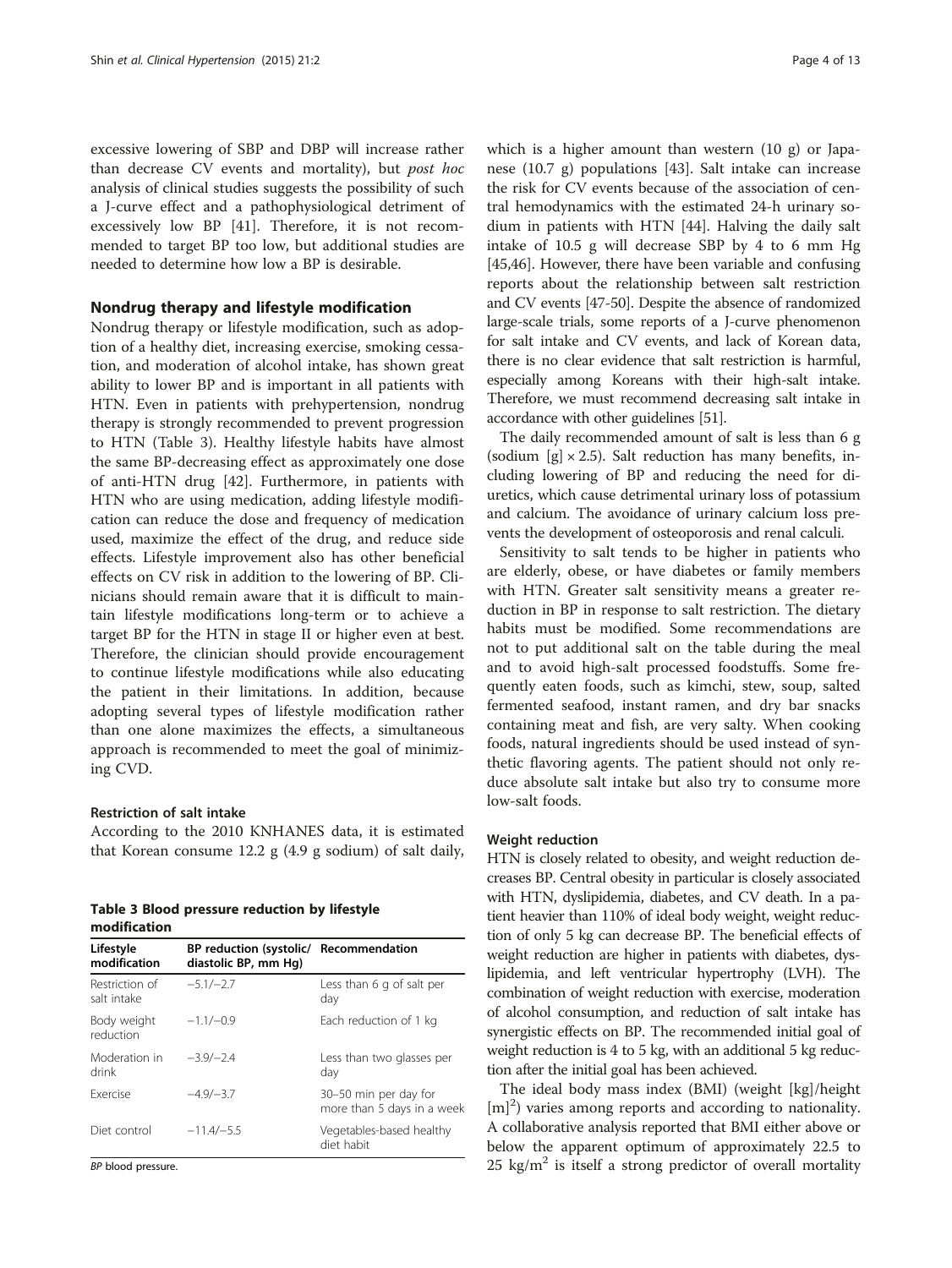excessive lowering of SBP and DBP will increase rather than decrease CV events and mortality), but post hoc analysis of clinical studies suggests the possibility of such a J-curve effect and a pathophysiological detriment of excessively low BP [[41](#page-10-0)]. Therefore, it is not recommended to target BP too low, but additional studies are needed to determine how low a BP is desirable.

# Nondrug therapy and lifestyle modification

Nondrug therapy or lifestyle modification, such as adoption of a healthy diet, increasing exercise, smoking cessation, and moderation of alcohol intake, has shown great ability to lower BP and is important in all patients with HTN. Even in patients with prehypertension, nondrug therapy is strongly recommended to prevent progression to HTN (Table 3). Healthy lifestyle habits have almost the same BP-decreasing effect as approximately one dose of anti-HTN drug [[42\]](#page-10-0). Furthermore, in patients with HTN who are using medication, adding lifestyle modification can reduce the dose and frequency of medication used, maximize the effect of the drug, and reduce side effects. Lifestyle improvement also has other beneficial effects on CV risk in addition to the lowering of BP. Clinicians should remain aware that it is difficult to maintain lifestyle modifications long-term or to achieve a target BP for the HTN in stage II or higher even at best. Therefore, the clinician should provide encouragement to continue lifestyle modifications while also educating the patient in their limitations. In addition, because adopting several types of lifestyle modification rather than one alone maximizes the effects, a simultaneous approach is recommended to meet the goal of minimizing CVD.

# Restriction of salt intake

According to the 2010 KNHANES data, it is estimated that Korean consume 12.2 g (4.9 g sodium) of salt daily,

Table 3 Blood pressure reduction by lifestyle modification

| Lifestyle<br>modification     | BP reduction (systolic/ Recommendation<br>diastolic BP, mm Hq) |                                                     |
|-------------------------------|----------------------------------------------------------------|-----------------------------------------------------|
| Restriction of<br>salt intake | $-5.1/-2.7$                                                    | Less than $6q$ of salt per<br>day                   |
| Body weight<br>reduction      | $-1.1/-0.9$                                                    | Each reduction of 1 kg                              |
| Moderation in<br>drink        | $-3.9/-2.4$                                                    | Less than two glasses per<br>day                    |
| <b>Exercise</b>               | $-4.9/-3.7$                                                    | 30-50 min per day for<br>more than 5 days in a week |
| Diet control                  | $-11.4/-5.5$                                                   | Vegetables-based healthy<br>diet habit              |

BP blood pressure.

which is a higher amount than western (10 g) or Japanese (10.7 g) populations [[43\]](#page-10-0). Salt intake can increase the risk for CV events because of the association of central hemodynamics with the estimated 24-h urinary sodium in patients with HTN [\[44](#page-11-0)]. Halving the daily salt intake of 10.5 g will decrease SBP by 4 to 6 mm Hg [[45,46\]](#page-11-0). However, there have been variable and confusing reports about the relationship between salt restriction and CV events [\[47-50\]](#page-11-0). Despite the absence of randomized large-scale trials, some reports of a J-curve phenomenon for salt intake and CV events, and lack of Korean data, there is no clear evidence that salt restriction is harmful, especially among Koreans with their high-salt intake. Therefore, we must recommend decreasing salt intake in accordance with other guidelines [\[51\]](#page-11-0).

The daily recommended amount of salt is less than 6 g (sodium  $[g] \times 2.5$ ). Salt reduction has many benefits, including lowering of BP and reducing the need for diuretics, which cause detrimental urinary loss of potassium and calcium. The avoidance of urinary calcium loss prevents the development of osteoporosis and renal calculi.

Sensitivity to salt tends to be higher in patients who are elderly, obese, or have diabetes or family members with HTN. Greater salt sensitivity means a greater reduction in BP in response to salt restriction. The dietary habits must be modified. Some recommendations are not to put additional salt on the table during the meal and to avoid high-salt processed foodstuffs. Some frequently eaten foods, such as kimchi, stew, soup, salted fermented seafood, instant ramen, and dry bar snacks containing meat and fish, are very salty. When cooking foods, natural ingredients should be used instead of synthetic flavoring agents. The patient should not only reduce absolute salt intake but also try to consume more low-salt foods.

#### Weight reduction

HTN is closely related to obesity, and weight reduction decreases BP. Central obesity in particular is closely associated with HTN, dyslipidemia, diabetes, and CV death. In a patient heavier than 110% of ideal body weight, weight reduction of only 5 kg can decrease BP. The beneficial effects of weight reduction are higher in patients with diabetes, dyslipidemia, and left ventricular hypertrophy (LVH). The combination of weight reduction with exercise, moderation of alcohol consumption, and reduction of salt intake has synergistic effects on BP. The recommended initial goal of weight reduction is 4 to 5 kg, with an additional 5 kg reduction after the initial goal has been achieved.

The ideal body mass index (BMI) (weight [kg]/height [m]<sup>2</sup>) varies among reports and according to nationality. A collaborative analysis reported that BMI either above or below the apparent optimum of approximately 22.5 to  $25 \text{ kg/m}^2$  is itself a strong predictor of overall mortality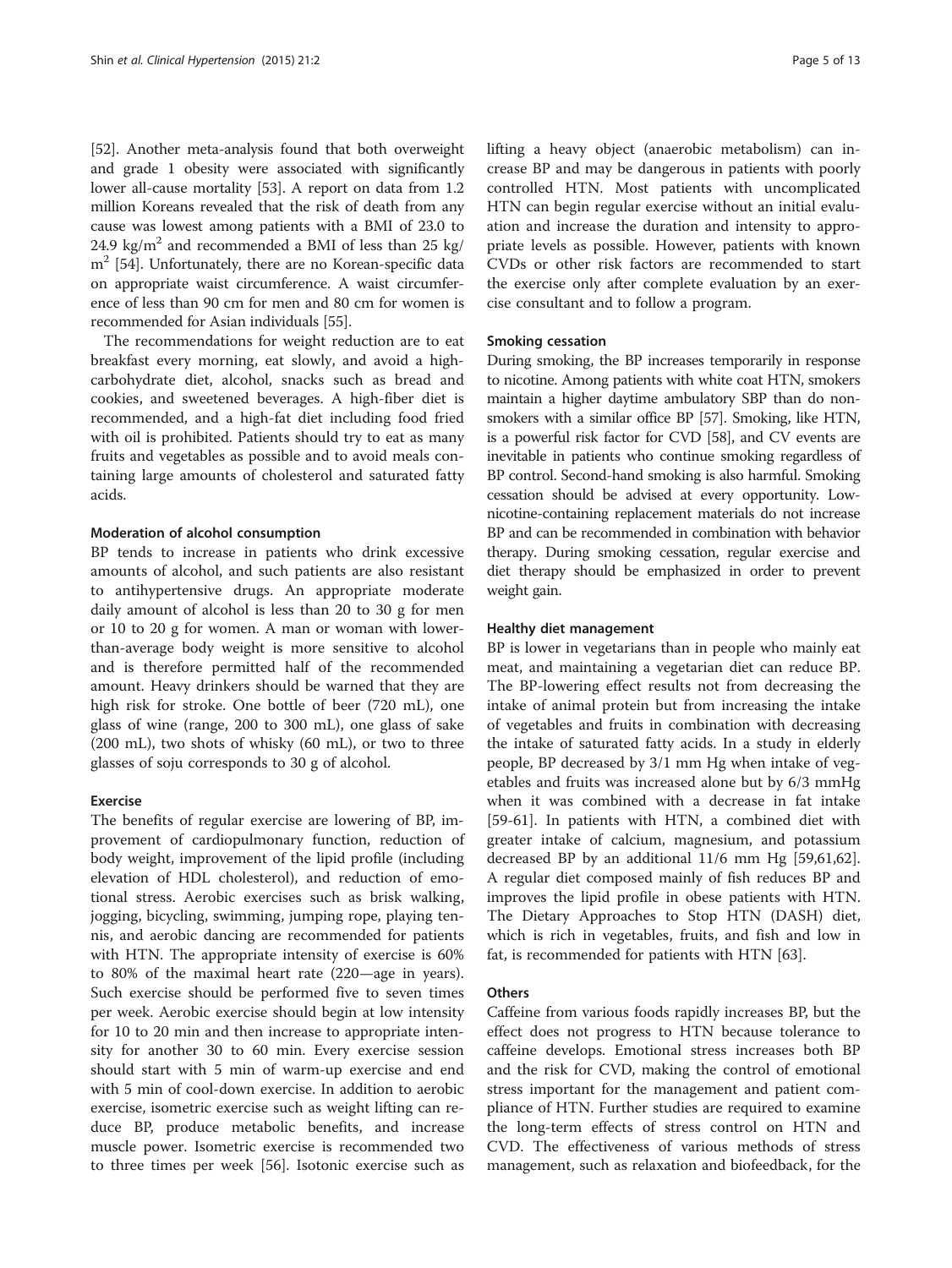[[52](#page-11-0)]. Another meta-analysis found that both overweight and grade 1 obesity were associated with significantly lower all-cause mortality [[53](#page-11-0)]. A report on data from 1.2 million Koreans revealed that the risk of death from any cause was lowest among patients with a BMI of 23.0 to 24.9 kg/m<sup>2</sup> and recommended a BMI of less than 25 kg/  $m<sup>2</sup>$  [[54\]](#page-11-0). Unfortunately, there are no Korean-specific data on appropriate waist circumference. A waist circumference of less than 90 cm for men and 80 cm for women is recommended for Asian individuals [\[55\]](#page-11-0).

The recommendations for weight reduction are to eat breakfast every morning, eat slowly, and avoid a highcarbohydrate diet, alcohol, snacks such as bread and cookies, and sweetened beverages. A high-fiber diet is recommended, and a high-fat diet including food fried with oil is prohibited. Patients should try to eat as many fruits and vegetables as possible and to avoid meals containing large amounts of cholesterol and saturated fatty acids.

#### Moderation of alcohol consumption

BP tends to increase in patients who drink excessive amounts of alcohol, and such patients are also resistant to antihypertensive drugs. An appropriate moderate daily amount of alcohol is less than 20 to 30 g for men or 10 to 20 g for women. A man or woman with lowerthan-average body weight is more sensitive to alcohol and is therefore permitted half of the recommended amount. Heavy drinkers should be warned that they are high risk for stroke. One bottle of beer (720 mL), one glass of wine (range, 200 to 300 mL), one glass of sake (200 mL), two shots of whisky (60 mL), or two to three glasses of soju corresponds to 30 g of alcohol.

#### Exercise

The benefits of regular exercise are lowering of BP, improvement of cardiopulmonary function, reduction of body weight, improvement of the lipid profile (including elevation of HDL cholesterol), and reduction of emotional stress. Aerobic exercises such as brisk walking, jogging, bicycling, swimming, jumping rope, playing tennis, and aerobic dancing are recommended for patients with HTN. The appropriate intensity of exercise is 60% to 80% of the maximal heart rate (220—age in years). Such exercise should be performed five to seven times per week. Aerobic exercise should begin at low intensity for 10 to 20 min and then increase to appropriate intensity for another 30 to 60 min. Every exercise session should start with 5 min of warm-up exercise and end with 5 min of cool-down exercise. In addition to aerobic exercise, isometric exercise such as weight lifting can reduce BP, produce metabolic benefits, and increase muscle power. Isometric exercise is recommended two to three times per week [\[56\]](#page-11-0). Isotonic exercise such as lifting a heavy object (anaerobic metabolism) can increase BP and may be dangerous in patients with poorly controlled HTN. Most patients with uncomplicated HTN can begin regular exercise without an initial evaluation and increase the duration and intensity to appropriate levels as possible. However, patients with known CVDs or other risk factors are recommended to start the exercise only after complete evaluation by an exercise consultant and to follow a program.

#### Smoking cessation

During smoking, the BP increases temporarily in response to nicotine. Among patients with white coat HTN, smokers maintain a higher daytime ambulatory SBP than do nonsmokers with a similar office BP [\[57\]](#page-11-0). Smoking, like HTN, is a powerful risk factor for CVD [\[58\]](#page-11-0), and CV events are inevitable in patients who continue smoking regardless of BP control. Second-hand smoking is also harmful. Smoking cessation should be advised at every opportunity. Lownicotine-containing replacement materials do not increase BP and can be recommended in combination with behavior therapy. During smoking cessation, regular exercise and diet therapy should be emphasized in order to prevent weight gain.

#### Healthy diet management

BP is lower in vegetarians than in people who mainly eat meat, and maintaining a vegetarian diet can reduce BP. The BP-lowering effect results not from decreasing the intake of animal protein but from increasing the intake of vegetables and fruits in combination with decreasing the intake of saturated fatty acids. In a study in elderly people, BP decreased by 3/1 mm Hg when intake of vegetables and fruits was increased alone but by 6/3 mmHg when it was combined with a decrease in fat intake [[59-61](#page-11-0)]. In patients with HTN, a combined diet with greater intake of calcium, magnesium, and potassium decreased BP by an additional 11/6 mm Hg [[59,61,62](#page-11-0)]. A regular diet composed mainly of fish reduces BP and improves the lipid profile in obese patients with HTN. The Dietary Approaches to Stop HTN (DASH) diet, which is rich in vegetables, fruits, and fish and low in fat, is recommended for patients with HTN [[63](#page-11-0)].

## **Others**

Caffeine from various foods rapidly increases BP, but the effect does not progress to HTN because tolerance to caffeine develops. Emotional stress increases both BP and the risk for CVD, making the control of emotional stress important for the management and patient compliance of HTN. Further studies are required to examine the long-term effects of stress control on HTN and CVD. The effectiveness of various methods of stress management, such as relaxation and biofeedback, for the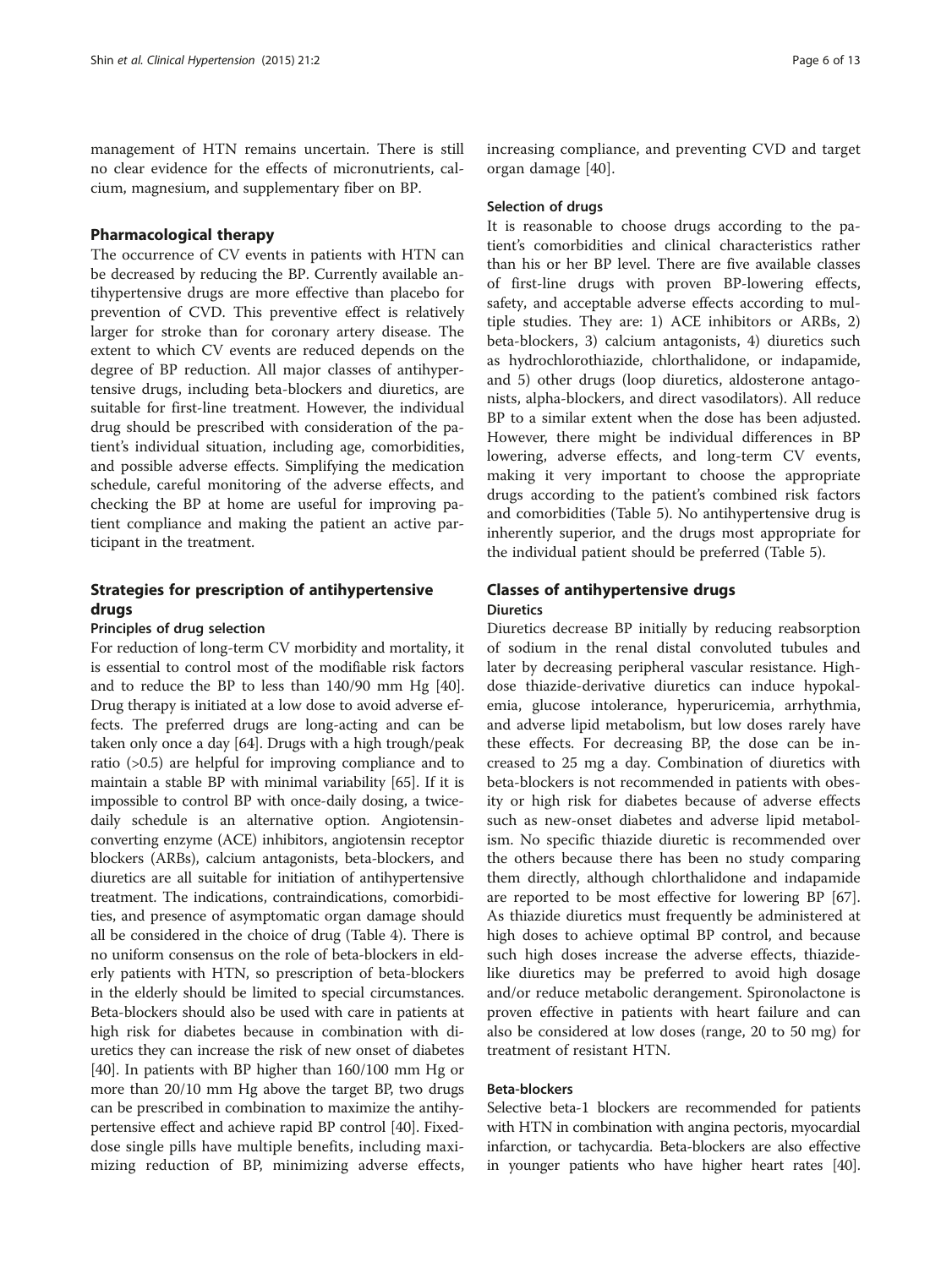management of HTN remains uncertain. There is still no clear evidence for the effects of micronutrients, calcium, magnesium, and supplementary fiber on BP.

# Pharmacological therapy

The occurrence of CV events in patients with HTN can be decreased by reducing the BP. Currently available antihypertensive drugs are more effective than placebo for prevention of CVD. This preventive effect is relatively larger for stroke than for coronary artery disease. The extent to which CV events are reduced depends on the degree of BP reduction. All major classes of antihypertensive drugs, including beta-blockers and diuretics, are suitable for first-line treatment. However, the individual drug should be prescribed with consideration of the patient's individual situation, including age, comorbidities, and possible adverse effects. Simplifying the medication schedule, careful monitoring of the adverse effects, and checking the BP at home are useful for improving patient compliance and making the patient an active participant in the treatment.

# Strategies for prescription of antihypertensive drugs

#### Principles of drug selection

For reduction of long-term CV morbidity and mortality, it is essential to control most of the modifiable risk factors and to reduce the BP to less than 140/90 mm Hg [[40](#page-10-0)]. Drug therapy is initiated at a low dose to avoid adverse effects. The preferred drugs are long-acting and can be taken only once a day [[64](#page-11-0)]. Drugs with a high trough/peak ratio (>0.5) are helpful for improving compliance and to maintain a stable BP with minimal variability [[65](#page-11-0)]. If it is impossible to control BP with once-daily dosing, a twicedaily schedule is an alternative option. Angiotensinconverting enzyme (ACE) inhibitors, angiotensin receptor blockers (ARBs), calcium antagonists, beta-blockers, and diuretics are all suitable for initiation of antihypertensive treatment. The indications, contraindications, comorbidities, and presence of asymptomatic organ damage should all be considered in the choice of drug (Table [4](#page-6-0)). There is no uniform consensus on the role of beta-blockers in elderly patients with HTN, so prescription of beta-blockers in the elderly should be limited to special circumstances. Beta-blockers should also be used with care in patients at high risk for diabetes because in combination with diuretics they can increase the risk of new onset of diabetes [[40](#page-10-0)]. In patients with BP higher than 160/100 mm Hg or more than 20/10 mm Hg above the target BP, two drugs can be prescribed in combination to maximize the antihypertensive effect and achieve rapid BP control [[40](#page-10-0)]. Fixeddose single pills have multiple benefits, including maximizing reduction of BP, minimizing adverse effects, increasing compliance, and preventing CVD and target organ damage [\[40](#page-10-0)].

# Selection of drugs

It is reasonable to choose drugs according to the patient's comorbidities and clinical characteristics rather than his or her BP level. There are five available classes of first-line drugs with proven BP-lowering effects, safety, and acceptable adverse effects according to multiple studies. They are: 1) ACE inhibitors or ARBs, 2) beta-blockers, 3) calcium antagonists, 4) diuretics such as hydrochlorothiazide, chlorthalidone, or indapamide, and 5) other drugs (loop diuretics, aldosterone antagonists, alpha-blockers, and direct vasodilators). All reduce BP to a similar extent when the dose has been adjusted. However, there might be individual differences in BP lowering, adverse effects, and long-term CV events, making it very important to choose the appropriate drugs according to the patient's combined risk factors and comorbidities (Table [5\)](#page-6-0). No antihypertensive drug is inherently superior, and the drugs most appropriate for the individual patient should be preferred (Table [5\)](#page-6-0).

# Classes of antihypertensive drugs **Diuretics**

Diuretics decrease BP initially by reducing reabsorption of sodium in the renal distal convoluted tubules and later by decreasing peripheral vascular resistance. Highdose thiazide-derivative diuretics can induce hypokalemia, glucose intolerance, hyperuricemia, arrhythmia, and adverse lipid metabolism, but low doses rarely have these effects. For decreasing BP, the dose can be increased to 25 mg a day. Combination of diuretics with beta-blockers is not recommended in patients with obesity or high risk for diabetes because of adverse effects such as new-onset diabetes and adverse lipid metabolism. No specific thiazide diuretic is recommended over the others because there has been no study comparing them directly, although chlorthalidone and indapamide are reported to be most effective for lowering BP [\[67](#page-11-0)]. As thiazide diuretics must frequently be administered at high doses to achieve optimal BP control, and because such high doses increase the adverse effects, thiazidelike diuretics may be preferred to avoid high dosage and/or reduce metabolic derangement. Spironolactone is proven effective in patients with heart failure and can also be considered at low doses (range, 20 to 50 mg) for treatment of resistant HTN.

# Beta-blockers

Selective beta-1 blockers are recommended for patients with HTN in combination with angina pectoris, myocardial infarction, or tachycardia. Beta-blockers are also effective in younger patients who have higher heart rates [\[40](#page-10-0)].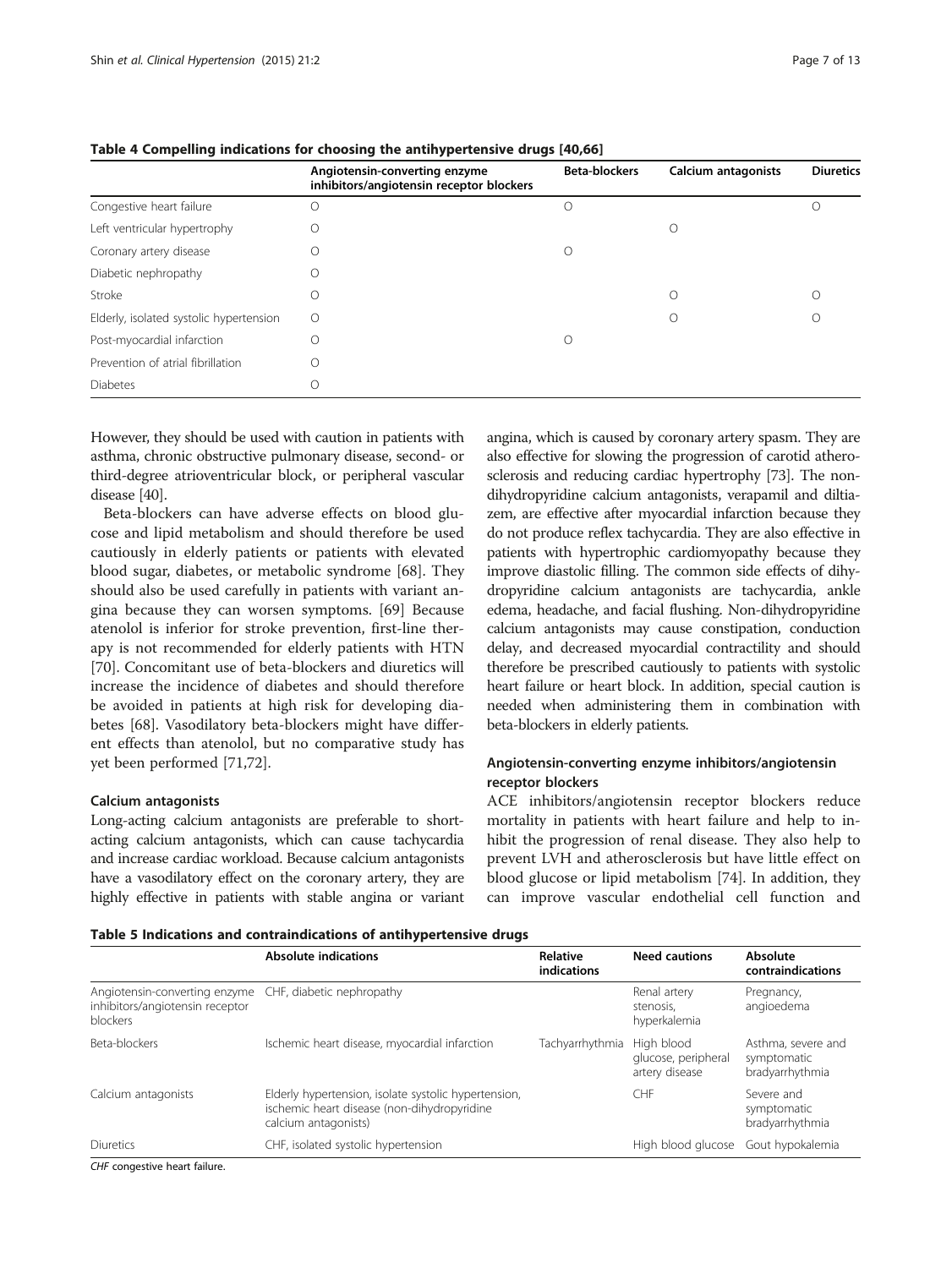|                                         | Angiotensin-converting enzyme<br>inhibitors/angiotensin receptor blockers | <b>Beta-blockers</b> | <b>Calcium antagonists</b> | <b>Diuretics</b> |
|-----------------------------------------|---------------------------------------------------------------------------|----------------------|----------------------------|------------------|
| Congestive heart failure                |                                                                           |                      |                            |                  |
| Left ventricular hypertrophy            | Ω                                                                         |                      | O                          |                  |
| Coronary artery disease                 |                                                                           |                      |                            |                  |
| Diabetic nephropathy                    |                                                                           |                      |                            |                  |
| Stroke                                  |                                                                           |                      | O                          |                  |
| Elderly, isolated systolic hypertension | $\bigcirc$                                                                |                      | C                          |                  |
| Post-myocardial infarction              |                                                                           |                      |                            |                  |
| Prevention of atrial fibrillation       |                                                                           |                      |                            |                  |
| <b>Diabetes</b>                         |                                                                           |                      |                            |                  |

<span id="page-6-0"></span>Table 4 Compelling indications for choosing the antihypertensive drugs [[40,](#page-10-0)[66\]](#page-11-0)

However, they should be used with caution in patients with asthma, chronic obstructive pulmonary disease, second- or third-degree atrioventricular block, or peripheral vascular disease [\[40](#page-10-0)].

Beta-blockers can have adverse effects on blood glucose and lipid metabolism and should therefore be used cautiously in elderly patients or patients with elevated blood sugar, diabetes, or metabolic syndrome [\[68](#page-11-0)]. They should also be used carefully in patients with variant angina because they can worsen symptoms. [\[69](#page-11-0)] Because atenolol is inferior for stroke prevention, first-line therapy is not recommended for elderly patients with HTN [[70\]](#page-11-0). Concomitant use of beta-blockers and diuretics will increase the incidence of diabetes and should therefore be avoided in patients at high risk for developing diabetes [\[68](#page-11-0)]. Vasodilatory beta-blockers might have different effects than atenolol, but no comparative study has yet been performed [[71](#page-11-0),[72](#page-11-0)].

# Calcium antagonists

Long-acting calcium antagonists are preferable to shortacting calcium antagonists, which can cause tachycardia and increase cardiac workload. Because calcium antagonists have a vasodilatory effect on the coronary artery, they are highly effective in patients with stable angina or variant angina, which is caused by coronary artery spasm. They are also effective for slowing the progression of carotid atherosclerosis and reducing cardiac hypertrophy [\[73\]](#page-11-0). The nondihydropyridine calcium antagonists, verapamil and diltiazem, are effective after myocardial infarction because they do not produce reflex tachycardia. They are also effective in patients with hypertrophic cardiomyopathy because they improve diastolic filling. The common side effects of dihydropyridine calcium antagonists are tachycardia, ankle edema, headache, and facial flushing. Non-dihydropyridine calcium antagonists may cause constipation, conduction delay, and decreased myocardial contractility and should therefore be prescribed cautiously to patients with systolic heart failure or heart block. In addition, special caution is needed when administering them in combination with beta-blockers in elderly patients.

# Angiotensin-converting enzyme inhibitors/angiotensin receptor blockers

ACE inhibitors/angiotensin receptor blockers reduce mortality in patients with heart failure and help to inhibit the progression of renal disease. They also help to prevent LVH and atherosclerosis but have little effect on blood glucose or lipid metabolism [[74\]](#page-11-0). In addition, they can improve vascular endothelial cell function and

Table 5 Indications and contraindications of antihypertensive drugs

|                                                                              | <b>Absolute indications</b>                                                                                                 | Relative<br>indications | <b>Need cautions</b>                                | Absolute<br>contraindications                        |
|------------------------------------------------------------------------------|-----------------------------------------------------------------------------------------------------------------------------|-------------------------|-----------------------------------------------------|------------------------------------------------------|
| Angiotensin-converting enzyme<br>inhibitors/angiotensin receptor<br>blockers | CHF, diabetic nephropathy                                                                                                   |                         | Renal artery<br>stenosis.<br>hyperkalemia           | Pregnancy,<br>angioedema                             |
| Beta-blockers                                                                | Ischemic heart disease, myocardial infarction                                                                               | Tachyarrhythmia         | High blood<br>glucose, peripheral<br>artery disease | Asthma, severe and<br>symptomatic<br>bradyarrhythmia |
| Calcium antagonists                                                          | Elderly hypertension, isolate systolic hypertension,<br>ischemic heart disease (non-dihydropyridine<br>calcium antagonists) |                         | <b>CHF</b>                                          | Severe and<br>symptomatic<br>bradyarrhythmia         |
| Diuretics                                                                    | CHF, isolated systolic hypertension                                                                                         |                         | High blood glucose                                  | Gout hypokalemia                                     |

CHF congestive heart failure.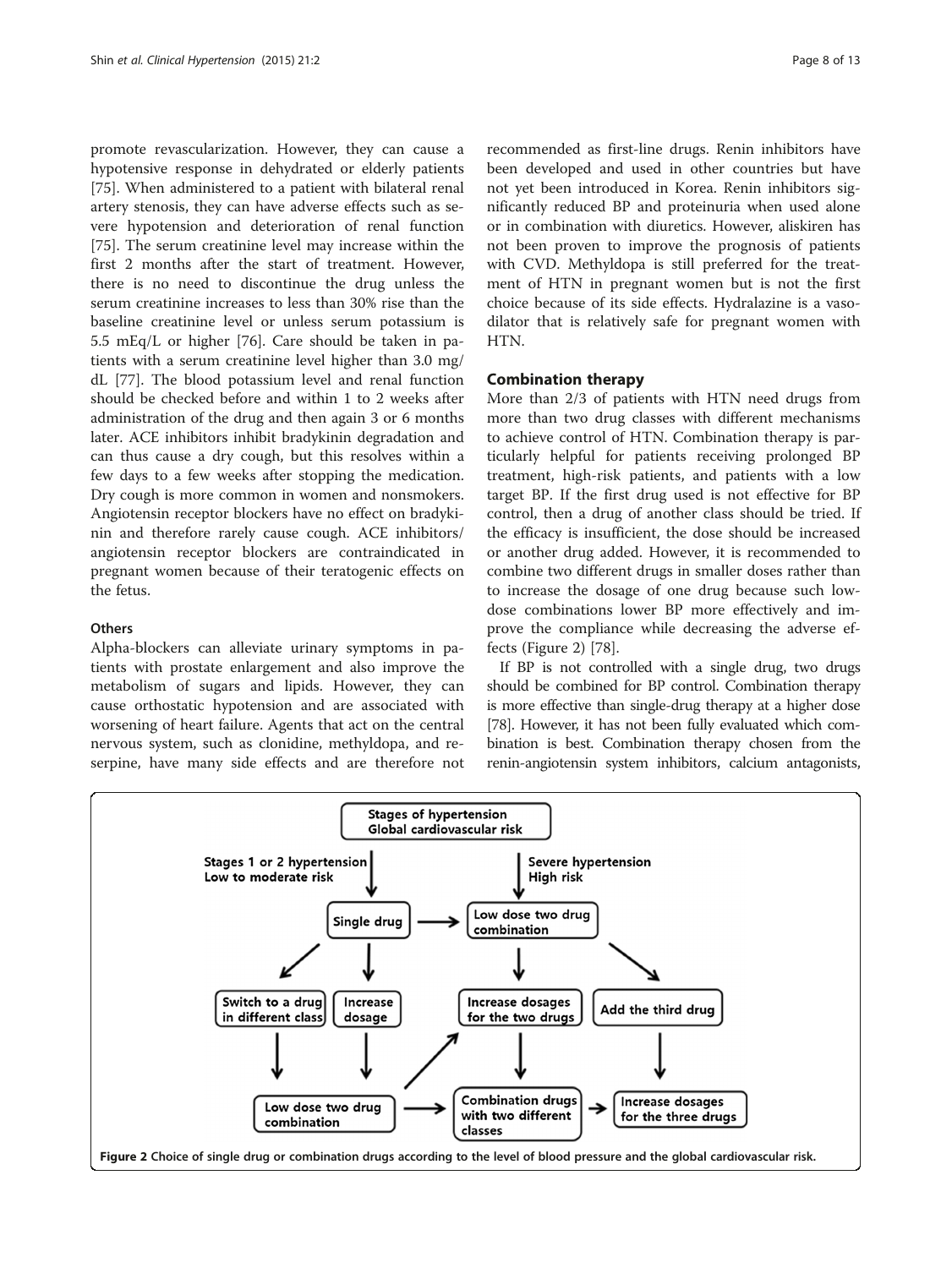promote revascularization. However, they can cause a hypotensive response in dehydrated or elderly patients [[75\]](#page-11-0). When administered to a patient with bilateral renal artery stenosis, they can have adverse effects such as severe hypotension and deterioration of renal function [[75\]](#page-11-0). The serum creatinine level may increase within the first 2 months after the start of treatment. However, there is no need to discontinue the drug unless the serum creatinine increases to less than 30% rise than the baseline creatinine level or unless serum potassium is 5.5 mEq/L or higher [\[76](#page-11-0)]. Care should be taken in patients with a serum creatinine level higher than 3.0 mg/ dL [\[77\]](#page-11-0). The blood potassium level and renal function should be checked before and within 1 to 2 weeks after administration of the drug and then again 3 or 6 months later. ACE inhibitors inhibit bradykinin degradation and can thus cause a dry cough, but this resolves within a few days to a few weeks after stopping the medication. Dry cough is more common in women and nonsmokers. Angiotensin receptor blockers have no effect on bradykinin and therefore rarely cause cough. ACE inhibitors/ angiotensin receptor blockers are contraindicated in pregnant women because of their teratogenic effects on the fetus.

#### **Others**

Alpha-blockers can alleviate urinary symptoms in patients with prostate enlargement and also improve the metabolism of sugars and lipids. However, they can cause orthostatic hypotension and are associated with worsening of heart failure. Agents that act on the central nervous system, such as clonidine, methyldopa, and reserpine, have many side effects and are therefore not

recommended as first-line drugs. Renin inhibitors have been developed and used in other countries but have not yet been introduced in Korea. Renin inhibitors significantly reduced BP and proteinuria when used alone or in combination with diuretics. However, aliskiren has not been proven to improve the prognosis of patients with CVD. Methyldopa is still preferred for the treatment of HTN in pregnant women but is not the first choice because of its side effects. Hydralazine is a vasodilator that is relatively safe for pregnant women with HTN.

# Combination therapy

More than 2/3 of patients with HTN need drugs from more than two drug classes with different mechanisms to achieve control of HTN. Combination therapy is particularly helpful for patients receiving prolonged BP treatment, high-risk patients, and patients with a low target BP. If the first drug used is not effective for BP control, then a drug of another class should be tried. If the efficacy is insufficient, the dose should be increased or another drug added. However, it is recommended to combine two different drugs in smaller doses rather than to increase the dosage of one drug because such lowdose combinations lower BP more effectively and improve the compliance while decreasing the adverse effects (Figure 2) [[78](#page-11-0)].

If BP is not controlled with a single drug, two drugs should be combined for BP control. Combination therapy is more effective than single-drug therapy at a higher dose [[78](#page-11-0)]. However, it has not been fully evaluated which combination is best. Combination therapy chosen from the renin-angiotensin system inhibitors, calcium antagonists,

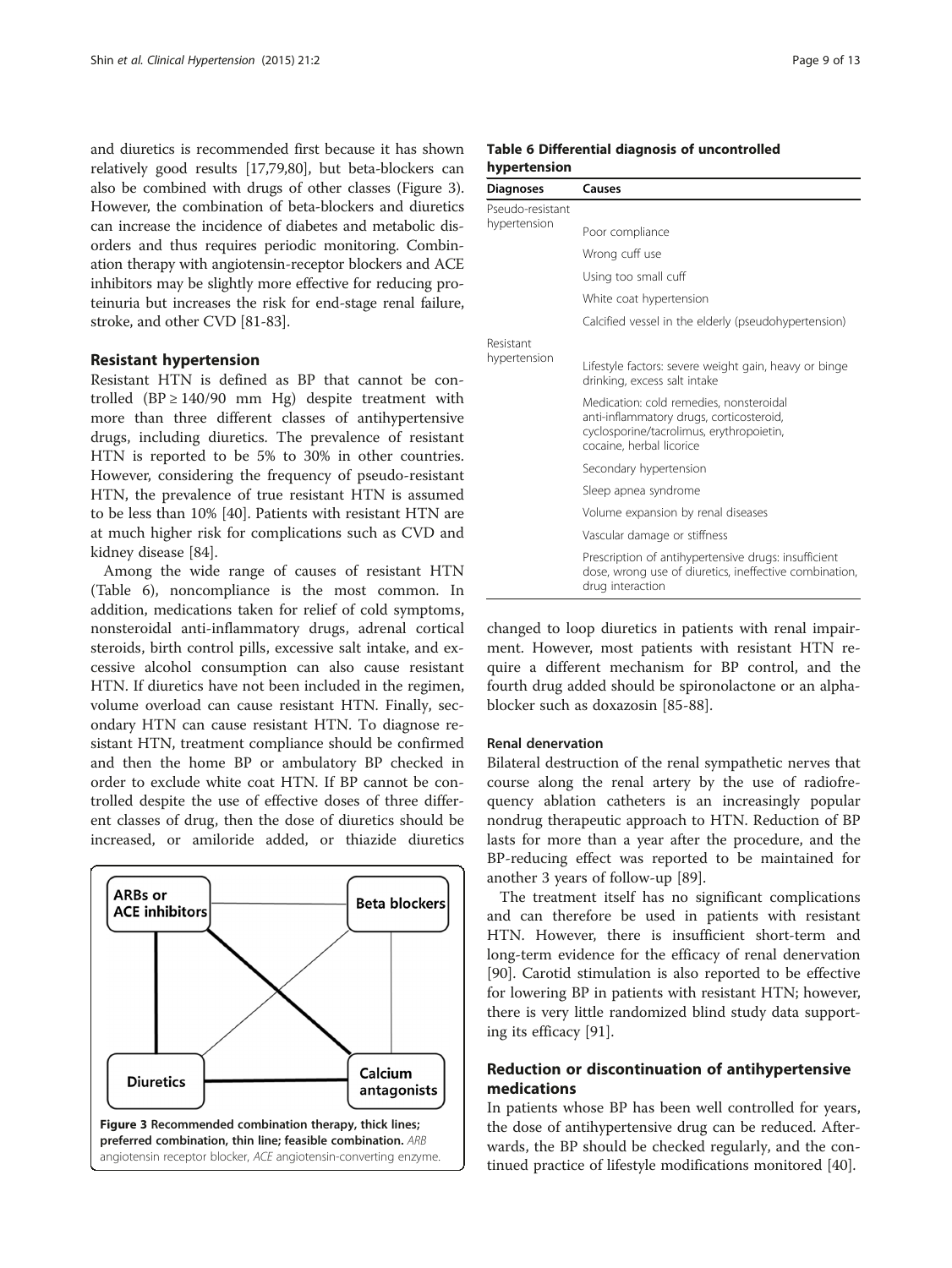and diuretics is recommended first because it has shown relatively good results [[17](#page-10-0)[,79,80\]](#page-11-0), but beta-blockers can also be combined with drugs of other classes (Figure 3). However, the combination of beta-blockers and diuretics can increase the incidence of diabetes and metabolic disorders and thus requires periodic monitoring. Combination therapy with angiotensin-receptor blockers and ACE inhibitors may be slightly more effective for reducing proteinuria but increases the risk for end-stage renal failure, stroke, and other CVD [[81](#page-11-0)-[83](#page-11-0)].

# Resistant hypertension

Resistant HTN is defined as BP that cannot be controlled  $(BP \ge 140/90$  mm Hg) despite treatment with more than three different classes of antihypertensive drugs, including diuretics. The prevalence of resistant HTN is reported to be 5% to 30% in other countries. However, considering the frequency of pseudo-resistant HTN, the prevalence of true resistant HTN is assumed to be less than 10% [[40\]](#page-10-0). Patients with resistant HTN are at much higher risk for complications such as CVD and kidney disease [\[84](#page-11-0)].

Among the wide range of causes of resistant HTN (Table 6), noncompliance is the most common. In addition, medications taken for relief of cold symptoms, nonsteroidal anti-inflammatory drugs, adrenal cortical steroids, birth control pills, excessive salt intake, and excessive alcohol consumption can also cause resistant HTN. If diuretics have not been included in the regimen, volume overload can cause resistant HTN. Finally, secondary HTN can cause resistant HTN. To diagnose resistant HTN, treatment compliance should be confirmed and then the home BP or ambulatory BP checked in order to exclude white coat HTN. If BP cannot be controlled despite the use of effective doses of three different classes of drug, then the dose of diuretics should be increased, or amiloride added, or thiazide diuretics



# Table 6 Differential diagnosis of uncontrolled hypertension

| <b>Diagnoses</b> | Causes                                                                                                                                                      |
|------------------|-------------------------------------------------------------------------------------------------------------------------------------------------------------|
| Pseudo-resistant |                                                                                                                                                             |
| hypertension     | Poor compliance                                                                                                                                             |
|                  | Wrong cuff use                                                                                                                                              |
|                  | Using too small cuff                                                                                                                                        |
|                  | White coat hypertension                                                                                                                                     |
|                  | Calcified vessel in the elderly (pseudohypertension)                                                                                                        |
| Resistant        |                                                                                                                                                             |
| hypertension     | Lifestyle factors: severe weight gain, heavy or binge<br>drinking, excess salt intake                                                                       |
|                  | Medication: cold remedies, nonsteroidal<br>anti-inflammatory drugs, corticosteroid,<br>cyclosporine/tacrolimus, erythropoietin,<br>cocaine, herbal licorice |
|                  | Secondary hypertension                                                                                                                                      |
|                  | Sleep apnea syndrome                                                                                                                                        |
|                  | Volume expansion by renal diseases                                                                                                                          |
|                  | Vascular damage or stiffness                                                                                                                                |
|                  | Prescription of antihypertensive drugs: insufficient<br>dose, wrong use of diuretics, ineffective combination,<br>drug interaction                          |

changed to loop diuretics in patients with renal impairment. However, most patients with resistant HTN require a different mechanism for BP control, and the fourth drug added should be spironolactone or an alphablocker such as doxazosin [[85-88\]](#page-11-0).

# Renal denervation

Bilateral destruction of the renal sympathetic nerves that course along the renal artery by the use of radiofrequency ablation catheters is an increasingly popular nondrug therapeutic approach to HTN. Reduction of BP lasts for more than a year after the procedure, and the BP-reducing effect was reported to be maintained for another 3 years of follow-up [[89\]](#page-11-0).

The treatment itself has no significant complications and can therefore be used in patients with resistant HTN. However, there is insufficient short-term and long-term evidence for the efficacy of renal denervation [[90\]](#page-11-0). Carotid stimulation is also reported to be effective for lowering BP in patients with resistant HTN; however, there is very little randomized blind study data supporting its efficacy [\[91](#page-11-0)].

# Reduction or discontinuation of antihypertensive medications

In patients whose BP has been well controlled for years, the dose of antihypertensive drug can be reduced. Afterwards, the BP should be checked regularly, and the continued practice of lifestyle modifications monitored [[40](#page-10-0)].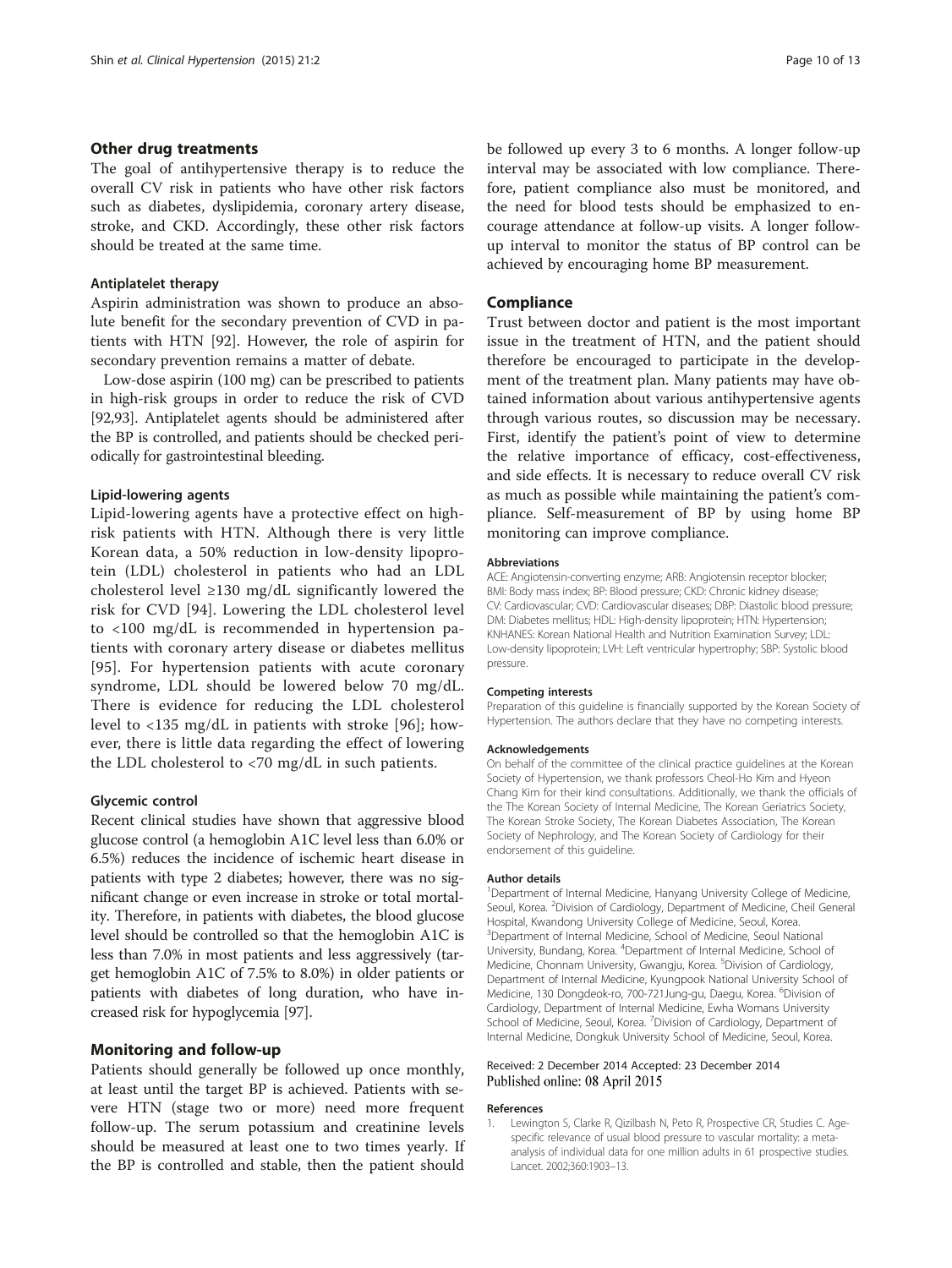# <span id="page-9-0"></span>Other drug treatments

The goal of antihypertensive therapy is to reduce the overall CV risk in patients who have other risk factors such as diabetes, dyslipidemia, coronary artery disease, stroke, and CKD. Accordingly, these other risk factors should be treated at the same time.

#### Antiplatelet therapy

Aspirin administration was shown to produce an absolute benefit for the secondary prevention of CVD in patients with HTN [\[92\]](#page-12-0). However, the role of aspirin for secondary prevention remains a matter of debate.

Low-dose aspirin (100 mg) can be prescribed to patients in high-risk groups in order to reduce the risk of CVD [[92,93](#page-12-0)]. Antiplatelet agents should be administered after the BP is controlled, and patients should be checked periodically for gastrointestinal bleeding.

# Lipid-lowering agents

Lipid-lowering agents have a protective effect on highrisk patients with HTN. Although there is very little Korean data, a 50% reduction in low-density lipoprotein (LDL) cholesterol in patients who had an LDL cholesterol level ≥130 mg/dL significantly lowered the risk for CVD [[94\]](#page-12-0). Lowering the LDL cholesterol level to <100 mg/dL is recommended in hypertension patients with coronary artery disease or diabetes mellitus [[95](#page-12-0)]. For hypertension patients with acute coronary syndrome, LDL should be lowered below 70 mg/dL. There is evidence for reducing the LDL cholesterol level to <135 mg/dL in patients with stroke [[96](#page-12-0)]; however, there is little data regarding the effect of lowering the LDL cholesterol to <70 mg/dL in such patients.

#### Glycemic control

Recent clinical studies have shown that aggressive blood glucose control (a hemoglobin A1C level less than 6.0% or 6.5%) reduces the incidence of ischemic heart disease in patients with type 2 diabetes; however, there was no significant change or even increase in stroke or total mortality. Therefore, in patients with diabetes, the blood glucose level should be controlled so that the hemoglobin A1C is less than 7.0% in most patients and less aggressively (target hemoglobin A1C of 7.5% to 8.0%) in older patients or patients with diabetes of long duration, who have increased risk for hypoglycemia [[97](#page-12-0)].

# Monitoring and follow-up

Patients should generally be followed up once monthly, at least until the target BP is achieved. Patients with severe HTN (stage two or more) need more frequent follow-up. The serum potassium and creatinine levels should be measured at least one to two times yearly. If the BP is controlled and stable, then the patient should

be followed up every 3 to 6 months. A longer follow-up interval may be associated with low compliance. Therefore, patient compliance also must be monitored, and the need for blood tests should be emphasized to encourage attendance at follow-up visits. A longer followup interval to monitor the status of BP control can be achieved by encouraging home BP measurement.

# **Compliance**

Trust between doctor and patient is the most important issue in the treatment of HTN, and the patient should therefore be encouraged to participate in the development of the treatment plan. Many patients may have obtained information about various antihypertensive agents through various routes, so discussion may be necessary. First, identify the patient's point of view to determine the relative importance of efficacy, cost-effectiveness, and side effects. It is necessary to reduce overall CV risk as much as possible while maintaining the patient's compliance. Self-measurement of BP by using home BP monitoring can improve compliance.

#### Abbreviations

ACE: Angiotensin-converting enzyme; ARB: Angiotensin receptor blocker; BMI: Body mass index; BP: Blood pressure; CKD: Chronic kidney disease; CV: Cardiovascular; CVD: Cardiovascular diseases; DBP: Diastolic blood pressure; DM: Diabetes mellitus; HDL: High-density lipoprotein; HTN: Hypertension; KNHANES: Korean National Health and Nutrition Examination Survey; LDL: Low-density lipoprotein; LVH: Left ventricular hypertrophy; SBP: Systolic blood pressure.

#### Competing interests

Preparation of this guideline is financially supported by the Korean Society of Hypertension. The authors declare that they have no competing interests.

#### Acknowledgements

On behalf of the committee of the clinical practice guidelines at the Korean Society of Hypertension, we thank professors Cheol-Ho Kim and Hyeon Chang Kim for their kind consultations. Additionally, we thank the officials of the The Korean Society of Internal Medicine, The Korean Geriatrics Society, The Korean Stroke Society, The Korean Diabetes Association, The Korean Society of Nephrology, and The Korean Society of Cardiology for their endorsement of this guideline.

#### Author details

<sup>1</sup>Department of Internal Medicine, Hanyang University College of Medicine, Seoul, Korea. <sup>2</sup> Division of Cardiology, Department of Medicine, Cheil General Hospital, Kwandong University College of Medicine, Seoul, Korea. <sup>3</sup> Department of Internal Medicine, School of Medicine, Seoul National University, Bundang, Korea. <sup>4</sup>Department of Internal Medicine, School of Medicine, Chonnam University, Gwangju, Korea. <sup>5</sup>Division of Cardiology Department of Internal Medicine, Kyungpook National University School of Medicine, 130 Dongdeok-ro, 700-721Jung-gu, Daegu, Korea. <sup>6</sup>Division of Cardiology, Department of Internal Medicine, Ewha Womans University School of Medicine, Seoul, Korea. <sup>7</sup> Division of Cardiology, Department of Internal Medicine, Dongkuk University School of Medicine, Seoul, Korea.

#### Received: 2 December 2014 Accepted: 23 December 2014 Published online: 08 April 2015

#### References

1. Lewington S, Clarke R, Qizilbash N, Peto R, Prospective CR, Studies C. Agespecific relevance of usual blood pressure to vascular mortality: a metaanalysis of individual data for one million adults in 61 prospective studies. Lancet. 2002;360:1903–13.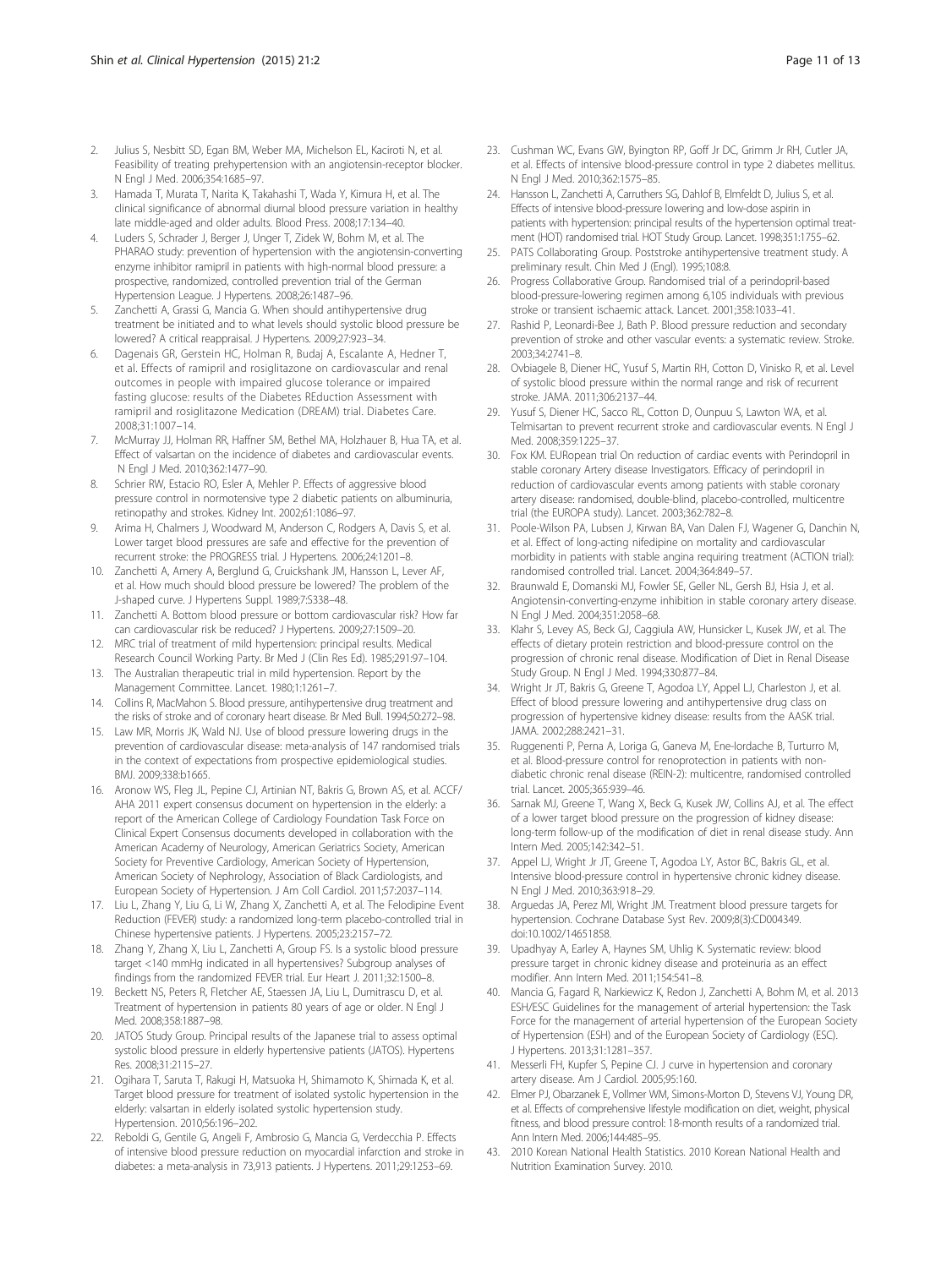- <span id="page-10-0"></span>Julius S, Nesbitt SD, Egan BM, Weber MA, Michelson EL, Kaciroti N, et al. Feasibility of treating prehypertension with an angiotensin-receptor blocker. N Engl J Med. 2006;354:1685–97.
- 3. Hamada T, Murata T, Narita K, Takahashi T, Wada Y, Kimura H, et al. The clinical significance of abnormal diurnal blood pressure variation in healthy late middle-aged and older adults. Blood Press. 2008;17:134–40.
- 4. Luders S, Schrader J, Berger J, Unger T, Zidek W, Bohm M, et al. The PHARAO study: prevention of hypertension with the angiotensin-converting enzyme inhibitor ramipril in patients with high-normal blood pressure: a prospective, randomized, controlled prevention trial of the German Hypertension League. J Hypertens. 2008;26:1487–96.
- 5. Zanchetti A, Grassi G, Mancia G. When should antihypertensive drug treatment be initiated and to what levels should systolic blood pressure be lowered? A critical reappraisal. J Hypertens. 2009;27:923–34.
- 6. Dagenais GR, Gerstein HC, Holman R, Budaj A, Escalante A, Hedner T, et al. Effects of ramipril and rosiglitazone on cardiovascular and renal outcomes in people with impaired glucose tolerance or impaired fasting glucose: results of the Diabetes REduction Assessment with ramipril and rosiglitazone Medication (DREAM) trial. Diabetes Care. 2008;31:1007–14.
- 7. McMurray JJ, Holman RR, Haffner SM, Bethel MA, Holzhauer B, Hua TA, et al. Effect of valsartan on the incidence of diabetes and cardiovascular events. N Engl J Med. 2010;362:1477–90.
- Schrier RW, Estacio RO, Esler A, Mehler P. Effects of aggressive blood pressure control in normotensive type 2 diabetic patients on albuminuria, retinopathy and strokes. Kidney Int. 2002;61:1086–97.
- 9. Arima H, Chalmers J, Woodward M, Anderson C, Rodgers A, Davis S, et al. Lower target blood pressures are safe and effective for the prevention of recurrent stroke: the PROGRESS trial. J Hypertens. 2006;24:1201–8.
- 10. Zanchetti A, Amery A, Berglund G, Cruickshank JM, Hansson L, Lever AF, et al. How much should blood pressure be lowered? The problem of the J-shaped curve. J Hypertens Suppl. 1989;7:S338–48.
- 11. Zanchetti A. Bottom blood pressure or bottom cardiovascular risk? How far can cardiovascular risk be reduced? J Hypertens. 2009;27:1509–20.
- 12. MRC trial of treatment of mild hypertension: principal results. Medical Research Council Working Party. Br Med J (Clin Res Ed). 1985;291:97–104.
- 13. The Australian therapeutic trial in mild hypertension. Report by the Management Committee. Lancet. 1980;1:1261–7.
- 14. Collins R, MacMahon S. Blood pressure, antihypertensive drug treatment and the risks of stroke and of coronary heart disease. Br Med Bull. 1994;50:272–98.
- 15. Law MR, Morris JK, Wald NJ. Use of blood pressure lowering drugs in the prevention of cardiovascular disease: meta-analysis of 147 randomised trials in the context of expectations from prospective epidemiological studies. BMJ. 2009;338:b1665.
- 16. Aronow WS, Fleg JL, Pepine CJ, Artinian NT, Bakris G, Brown AS, et al. ACCF/ AHA 2011 expert consensus document on hypertension in the elderly: a report of the American College of Cardiology Foundation Task Force on Clinical Expert Consensus documents developed in collaboration with the American Academy of Neurology, American Geriatrics Society, American Society for Preventive Cardiology, American Society of Hypertension, American Society of Nephrology, Association of Black Cardiologists, and European Society of Hypertension. J Am Coll Cardiol. 2011;57:2037–114.
- 17. Liu L, Zhang Y, Liu G, Li W, Zhang X, Zanchetti A, et al. The Felodipine Event Reduction (FEVER) study: a randomized long-term placebo-controlled trial in Chinese hypertensive patients. J Hypertens. 2005;23:2157–72.
- 18. Zhang Y, Zhang X, Liu L, Zanchetti A, Group FS. Is a systolic blood pressure target <140 mmHg indicated in all hypertensives? Subgroup analyses of findings from the randomized FEVER trial. Eur Heart J. 2011;32:1500–8.
- 19. Beckett NS, Peters R, Fletcher AE, Staessen JA, Liu L, Dumitrascu D, et al. Treatment of hypertension in patients 80 years of age or older. N Engl J Med. 2008;358:1887–98.
- 20. JATOS Study Group. Principal results of the Japanese trial to assess optimal systolic blood pressure in elderly hypertensive patients (JATOS). Hypertens Res. 2008;31:2115–27.
- 21. Ogihara T, Saruta T, Rakugi H, Matsuoka H, Shimamoto K, Shimada K, et al. Target blood pressure for treatment of isolated systolic hypertension in the elderly: valsartan in elderly isolated systolic hypertension study. Hypertension. 2010;56:196–202.
- 22. Reboldi G, Gentile G, Angeli F, Ambrosio G, Mancia G, Verdecchia P. Effects of intensive blood pressure reduction on myocardial infarction and stroke in diabetes: a meta-analysis in 73,913 patients. J Hypertens. 2011;29:1253–69.
- 23. Cushman WC, Evans GW, Byington RP, Goff Jr DC, Grimm Jr RH, Cutler JA, et al. Effects of intensive blood-pressure control in type 2 diabetes mellitus. N Engl J Med. 2010;362:1575–85.
- 24. Hansson L, Zanchetti A, Carruthers SG, Dahlof B, Elmfeldt D, Julius S, et al. Effects of intensive blood-pressure lowering and low-dose aspirin in patients with hypertension: principal results of the hypertension optimal treatment (HOT) randomised trial. HOT Study Group. Lancet. 1998;351:1755–62.
- 25. PATS Collaborating Group. Poststroke antihypertensive treatment study. A preliminary result. Chin Med J (Engl). 1995;108:8.
- 26. Progress Collaborative Group. Randomised trial of a perindopril-based blood-pressure-lowering regimen among 6,105 individuals with previous stroke or transient ischaemic attack. Lancet. 2001;358:1033–41.
- 27. Rashid P, Leonardi-Bee J, Bath P. Blood pressure reduction and secondary prevention of stroke and other vascular events: a systematic review. Stroke. 2003;34:2741–8.
- 28. Ovbiagele B, Diener HC, Yusuf S, Martin RH, Cotton D, Vinisko R, et al. Level of systolic blood pressure within the normal range and risk of recurrent stroke. JAMA. 2011;306:2137–44.
- 29. Yusuf S, Diener HC, Sacco RL, Cotton D, Ounpuu S, Lawton WA, et al. Telmisartan to prevent recurrent stroke and cardiovascular events. N Engl J Med. 2008;359:1225–37.
- Fox KM. EURopean trial On reduction of cardiac events with Perindopril in stable coronary Artery disease Investigators. Efficacy of perindopril in reduction of cardiovascular events among patients with stable coronary artery disease: randomised, double-blind, placebo-controlled, multicentre trial (the EUROPA study). Lancet. 2003;362:782–8.
- 31. Poole-Wilson PA, Lubsen J, Kirwan BA, Van Dalen FJ, Wagener G, Danchin N, et al. Effect of long-acting nifedipine on mortality and cardiovascular morbidity in patients with stable angina requiring treatment (ACTION trial): randomised controlled trial. Lancet. 2004;364:849–57.
- 32. Braunwald E, Domanski MJ, Fowler SE, Geller NL, Gersh BJ, Hsia J, et al. Angiotensin-converting-enzyme inhibition in stable coronary artery disease. N Engl J Med. 2004;351:2058–68.
- 33. Klahr S, Levey AS, Beck GJ, Caggiula AW, Hunsicker L, Kusek JW, et al. The effects of dietary protein restriction and blood-pressure control on the progression of chronic renal disease. Modification of Diet in Renal Disease Study Group. N Engl J Med. 1994;330:877–84.
- 34. Wright Jr JT, Bakris G, Greene T, Agodoa LY, Appel LJ, Charleston J, et al. Effect of blood pressure lowering and antihypertensive drug class on progression of hypertensive kidney disease: results from the AASK trial. JAMA. 2002;288:2421–31.
- 35. Ruggenenti P, Perna A, Loriga G, Ganeva M, Ene-Iordache B, Turturro M, et al. Blood-pressure control for renoprotection in patients with nondiabetic chronic renal disease (REIN-2): multicentre, randomised controlled trial. Lancet. 2005;365:939–46.
- 36. Sarnak MJ, Greene T, Wang X, Beck G, Kusek JW, Collins AJ, et al. The effect of a lower target blood pressure on the progression of kidney disease: long-term follow-up of the modification of diet in renal disease study. Ann Intern Med. 2005;142:342–51.
- 37. Appel LJ, Wright Jr JT, Greene T, Agodoa LY, Astor BC, Bakris GL, et al. Intensive blood-pressure control in hypertensive chronic kidney disease. N Engl J Med. 2010;363:918–29.
- 38. Arguedas JA, Perez MI, Wright JM. Treatment blood pressure targets for hypertension. Cochrane Database Syst Rev. 2009;8(3):CD004349. doi:10.1002/14651858.
- 39. Upadhyay A, Earley A, Haynes SM, Uhlig K. Systematic review: blood pressure target in chronic kidney disease and proteinuria as an effect modifier. Ann Intern Med. 2011;154:541–8.
- 40. Mancia G, Fagard R, Narkiewicz K, Redon J, Zanchetti A, Bohm M, et al. 2013 ESH/ESC Guidelines for the management of arterial hypertension: the Task Force for the management of arterial hypertension of the European Society of Hypertension (ESH) and of the European Society of Cardiology (ESC). J Hypertens. 2013;31:1281–357.
- 41. Messerli FH, Kupfer S, Pepine CJ. J curve in hypertension and coronary artery disease. Am J Cardiol. 2005;95:160.
- 42. Elmer PJ, Obarzanek E, Vollmer WM, Simons-Morton D, Stevens VJ, Young DR, et al. Effects of comprehensive lifestyle modification on diet, weight, physical fitness, and blood pressure control: 18-month results of a randomized trial. Ann Intern Med. 2006;144:485–95.
- 43. 2010 Korean National Health Statistics. 2010 Korean National Health and Nutrition Examination Survey. 2010.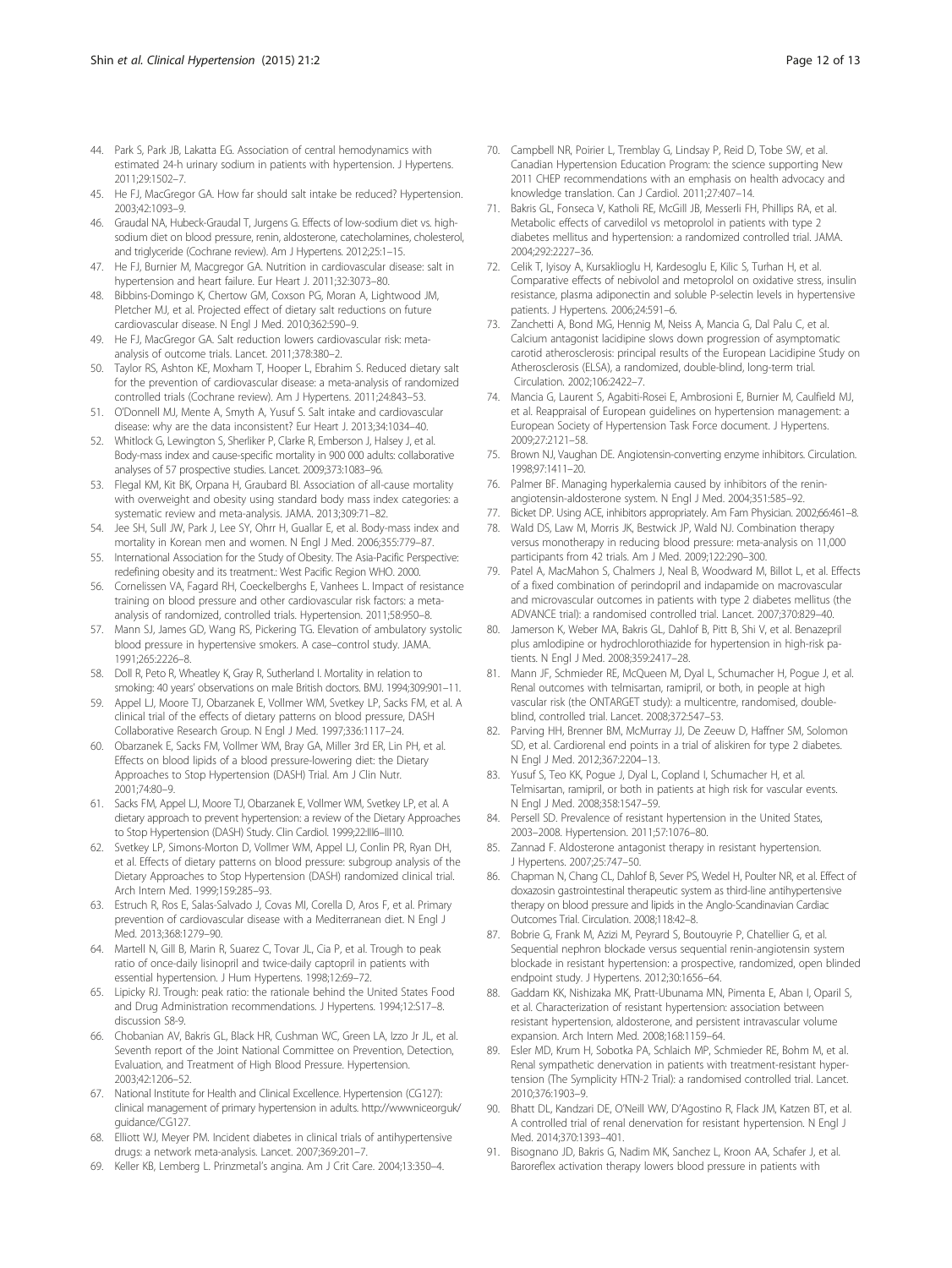- <span id="page-11-0"></span>44. Park S, Park JB, Lakatta EG. Association of central hemodynamics with estimated 24-h urinary sodium in patients with hypertension. J Hypertens. 2011;29:1502–7.
- 45. He FJ, MacGregor GA. How far should salt intake be reduced? Hypertension. 2003;42:1093–9.
- 46. Graudal NA, Hubeck-Graudal T, Jurgens G. Effects of low-sodium diet vs. highsodium diet on blood pressure, renin, aldosterone, catecholamines, cholesterol, and triglyceride (Cochrane review). Am J Hypertens. 2012;25:1–15.
- 47. He FJ, Burnier M, Macgregor GA. Nutrition in cardiovascular disease: salt in hypertension and heart failure. Eur Heart J. 2011;32:3073–80.
- 48. Bibbins-Domingo K, Chertow GM, Coxson PG, Moran A, Lightwood JM, Pletcher MJ, et al. Projected effect of dietary salt reductions on future cardiovascular disease. N Engl J Med. 2010;362:590–9.
- 49. He FJ, MacGregor GA. Salt reduction lowers cardiovascular risk: metaanalysis of outcome trials. Lancet. 2011;378:380–2.
- 50. Taylor RS, Ashton KE, Moxham T, Hooper L, Ebrahim S. Reduced dietary salt for the prevention of cardiovascular disease: a meta-analysis of randomized controlled trials (Cochrane review). Am J Hypertens. 2011;24:843–53.
- 51. O'Donnell MJ, Mente A, Smyth A, Yusuf S. Salt intake and cardiovascular disease: why are the data inconsistent? Eur Heart J. 2013;34:1034–40.
- 52. Whitlock G, Lewington S, Sherliker P, Clarke R, Emberson J, Halsey J, et al. Body-mass index and cause-specific mortality in 900 000 adults: collaborative analyses of 57 prospective studies. Lancet. 2009;373:1083–96.
- 53. Flegal KM, Kit BK, Orpana H, Graubard BI. Association of all-cause mortality with overweight and obesity using standard body mass index categories: a systematic review and meta-analysis. JAMA. 2013;309:71–82.
- 54. Jee SH, Sull JW, Park J, Lee SY, Ohrr H, Guallar E, et al. Body-mass index and mortality in Korean men and women. N Engl J Med. 2006;355:779–87.
- 55. International Association for the Study of Obesity. The Asia-Pacific Perspective: redefining obesity and its treatment.: West Pacific Region WHO. 2000.
- 56. Cornelissen VA, Fagard RH, Coeckelberghs E, Vanhees L. Impact of resistance training on blood pressure and other cardiovascular risk factors: a metaanalysis of randomized, controlled trials. Hypertension. 2011;58:950–8.
- 57. Mann SJ, James GD, Wang RS, Pickering TG. Elevation of ambulatory systolic blood pressure in hypertensive smokers. A case–control study. JAMA. 1991;265:2226–8.
- 58. Doll R, Peto R, Wheatley K, Gray R, Sutherland I. Mortality in relation to smoking: 40 years' observations on male British doctors. BMJ. 1994;309:901–11.
- 59. Appel LJ, Moore TJ, Obarzanek E, Vollmer WM, Svetkey LP, Sacks FM, et al. A clinical trial of the effects of dietary patterns on blood pressure, DASH Collaborative Research Group. N Engl J Med. 1997;336:1117–24.
- 60. Obarzanek E, Sacks FM, Vollmer WM, Bray GA, Miller 3rd ER, Lin PH, et al. Effects on blood lipids of a blood pressure-lowering diet: the Dietary Approaches to Stop Hypertension (DASH) Trial. Am J Clin Nutr. 2001;74:80–9.
- 61. Sacks FM, Appel LJ, Moore TJ, Obarzanek E, Vollmer WM, Svetkey LP, et al. A dietary approach to prevent hypertension: a review of the Dietary Approaches to Stop Hypertension (DASH) Study. Clin Cardiol. 1999;22:III6–III10.
- 62. Svetkey LP, Simons-Morton D, Vollmer WM, Appel LJ, Conlin PR, Ryan DH, et al. Effects of dietary patterns on blood pressure: subgroup analysis of the Dietary Approaches to Stop Hypertension (DASH) randomized clinical trial. Arch Intern Med. 1999;159:285–93.
- 63. Estruch R, Ros E, Salas-Salvado J, Covas MI, Corella D, Aros F, et al. Primary prevention of cardiovascular disease with a Mediterranean diet. N Engl J Med. 2013;368:1279–90.
- 64. Martell N, Gill B, Marin R, Suarez C, Tovar JL, Cia P, et al. Trough to peak ratio of once-daily lisinopril and twice-daily captopril in patients with essential hypertension. J Hum Hypertens. 1998;12:69–72.
- 65. Lipicky RJ. Trough: peak ratio: the rationale behind the United States Food and Drug Administration recommendations. J Hypertens. 1994;12:S17–8. discussion S8-9.
- 66. Chobanian AV, Bakris GL, Black HR, Cushman WC, Green LA, Izzo Jr JL, et al. Seventh report of the Joint National Committee on Prevention, Detection, Evaluation, and Treatment of High Blood Pressure. Hypertension. 2003;42:1206–52.
- 67. National Institute for Health and Clinical Excellence. Hypertension (CG127): clinical management of primary hypertension in adults. http://wwwniceorguk/ guidance/CG127.
- 68. Elliott WJ, Meyer PM. Incident diabetes in clinical trials of antihypertensive drugs: a network meta-analysis. Lancet. 2007;369:201–7.
- 69. Keller KB, Lemberg L. Prinzmetal's angina. Am J Crit Care. 2004;13:350–4.
- 70. Campbell NR, Poirier L, Tremblay G, Lindsay P, Reid D, Tobe SW, et al. Canadian Hypertension Education Program: the science supporting New 2011 CHEP recommendations with an emphasis on health advocacy and knowledge translation. Can J Cardiol. 2011;27:407–14.
- 71. Bakris GL, Fonseca V, Katholi RE, McGill JB, Messerli FH, Phillips RA, et al. Metabolic effects of carvedilol vs metoprolol in patients with type 2 diabetes mellitus and hypertension: a randomized controlled trial. JAMA. 2004;292:2227–36.
- 72. Celik T, Iyisoy A, Kursaklioglu H, Kardesoglu E, Kilic S, Turhan H, et al. Comparative effects of nebivolol and metoprolol on oxidative stress, insulin resistance, plasma adiponectin and soluble P-selectin levels in hypertensive patients. J Hypertens. 2006;24:591–6.
- 73. Zanchetti A, Bond MG, Hennig M, Neiss A, Mancia G, Dal Palu C, et al. Calcium antagonist lacidipine slows down progression of asymptomatic carotid atherosclerosis: principal results of the European Lacidipine Study on Atherosclerosis (ELSA), a randomized, double-blind, long-term trial. Circulation. 2002;106:2422–7.
- 74. Mancia G, Laurent S, Agabiti-Rosei E, Ambrosioni E, Burnier M, Caulfield MJ, et al. Reappraisal of European guidelines on hypertension management: a European Society of Hypertension Task Force document. J Hypertens. 2009;27:2121–58.
- 75. Brown NJ, Vaughan DE. Angiotensin-converting enzyme inhibitors. Circulation. 1998;97:1411–20.
- 76. Palmer BF. Managing hyperkalemia caused by inhibitors of the reninangiotensin-aldosterone system. N Engl J Med. 2004;351:585–92.
- 77. Bicket DP. Using ACE, inhibitors appropriately. Am Fam Physician. 2002;66:461–8.
- 78. Wald DS, Law M, Morris JK, Bestwick JP, Wald NJ. Combination therapy versus monotherapy in reducing blood pressure: meta-analysis on 11,000 participants from 42 trials. Am J Med. 2009;122:290–300.
- 79. Patel A, MacMahon S, Chalmers J, Neal B, Woodward M, Billot L, et al. Effects of a fixed combination of perindopril and indapamide on macrovascular and microvascular outcomes in patients with type 2 diabetes mellitus (the ADVANCE trial): a randomised controlled trial. Lancet. 2007;370:829–40.
- 80. Jamerson K, Weber MA, Bakris GL, Dahlof B, Pitt B, Shi V, et al. Benazepril plus amlodipine or hydrochlorothiazide for hypertension in high-risk patients. N Engl J Med. 2008;359:2417–28.
- 81. Mann JF, Schmieder RE, McQueen M, Dyal L, Schumacher H, Pogue J, et al. Renal outcomes with telmisartan, ramipril, or both, in people at high vascular risk (the ONTARGET study): a multicentre, randomised, doubleblind, controlled trial. Lancet. 2008;372:547–53.
- 82. Parving HH, Brenner BM, McMurray JJ, De Zeeuw D, Haffner SM, Solomon SD, et al. Cardiorenal end points in a trial of aliskiren for type 2 diabetes. N Engl J Med. 2012;367:2204–13.
- 83. Yusuf S, Teo KK, Pogue J, Dyal L, Copland I, Schumacher H, et al. Telmisartan, ramipril, or both in patients at high risk for vascular events. N Engl J Med. 2008;358:1547–59.
- Persell SD. Prevalence of resistant hypertension in the United States, 2003–2008. Hypertension. 2011;57:1076–80.
- 85. Zannad F. Aldosterone antagonist therapy in resistant hypertension. J Hypertens. 2007;25:747–50.
- 86. Chapman N, Chang CL, Dahlof B, Sever PS, Wedel H, Poulter NR, et al. Effect of doxazosin gastrointestinal therapeutic system as third-line antihypertensive therapy on blood pressure and lipids in the Anglo-Scandinavian Cardiac Outcomes Trial. Circulation. 2008;118:42–8.
- 87. Bobrie G, Frank M, Azizi M, Peyrard S, Boutouyrie P, Chatellier G, et al. Sequential nephron blockade versus sequential renin-angiotensin system blockade in resistant hypertension: a prospective, randomized, open blinded endpoint study. J Hypertens. 2012;30:1656–64.
- 88. Gaddam KK, Nishizaka MK, Pratt-Ubunama MN, Pimenta E, Aban I, Oparil S, et al. Characterization of resistant hypertension: association between resistant hypertension, aldosterone, and persistent intravascular volume expansion. Arch Intern Med. 2008;168:1159–64.
- 89. Esler MD, Krum H, Sobotka PA, Schlaich MP, Schmieder RE, Bohm M, et al. Renal sympathetic denervation in patients with treatment-resistant hypertension (The Symplicity HTN-2 Trial): a randomised controlled trial. Lancet. 2010;376:1903–9.
- 90. Bhatt DL, Kandzari DE, O'Neill WW, D'Agostino R, Flack JM, Katzen BT, et al. A controlled trial of renal denervation for resistant hypertension. N Engl J Med. 2014;370:1393–401.
- 91. Bisognano JD, Bakris G, Nadim MK, Sanchez L, Kroon AA, Schafer J, et al. Baroreflex activation therapy lowers blood pressure in patients with